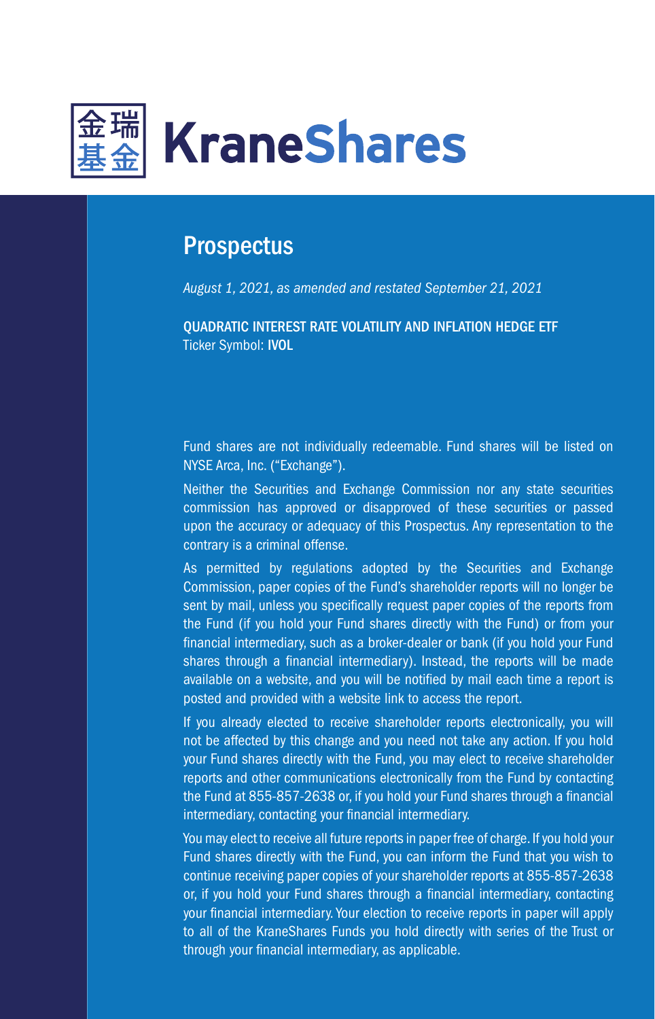

# **Prospectus**

*August 1, 2021, as amended and restated September 21, 2021*

QUADRATIC INTEREST RATE VOLATILITY AND INFLATION HEDGE ETF Ticker Symbol: IVOL

Fund shares are not individually redeemable. Fund shares will be listed on NYSE Arca, Inc. ("Exchange").

Neither the Securities and Exchange Commission nor any state securities commission has approved or disapproved of these securities or passed upon the accuracy or adequacy of this Prospectus. Any representation to the contrary is a criminal offense.

As permitted by regulations adopted by the Securities and Exchange Commission, paper copies of the Fund's shareholder reports will no longer be sent by mail, unless you specifically request paper copies of the reports from the Fund (if you hold your Fund shares directly with the Fund) or from your financial intermediary, such as a broker-dealer or bank (if you hold your Fund shares through a financial intermediary). Instead, the reports will be made available on a website, and you will be notified by mail each time a report is posted and provided with a website link to access the report.

If you already elected to receive shareholder reports electronically, you will not be affected by this change and you need not take any action. If you hold your Fund shares directly with the Fund, you may elect to receive shareholder reports and other communications electronically from the Fund by contacting the Fund at 855-857-2638 or, if you hold your Fund shares through a financial intermediary, contacting your financial intermediary.

You may elect to receive all future reports in paper free of charge. If you hold your Fund shares directly with the Fund, you can inform the Fund that you wish to continue receiving paper copies of your shareholder reports at 855-857-2638 or, if you hold your Fund shares through a financial intermediary, contacting your financial intermediary. Your election to receive reports in paper will apply to all of the KraneShares Funds you hold directly with series of the Trust or through your financial intermediary, as applicable.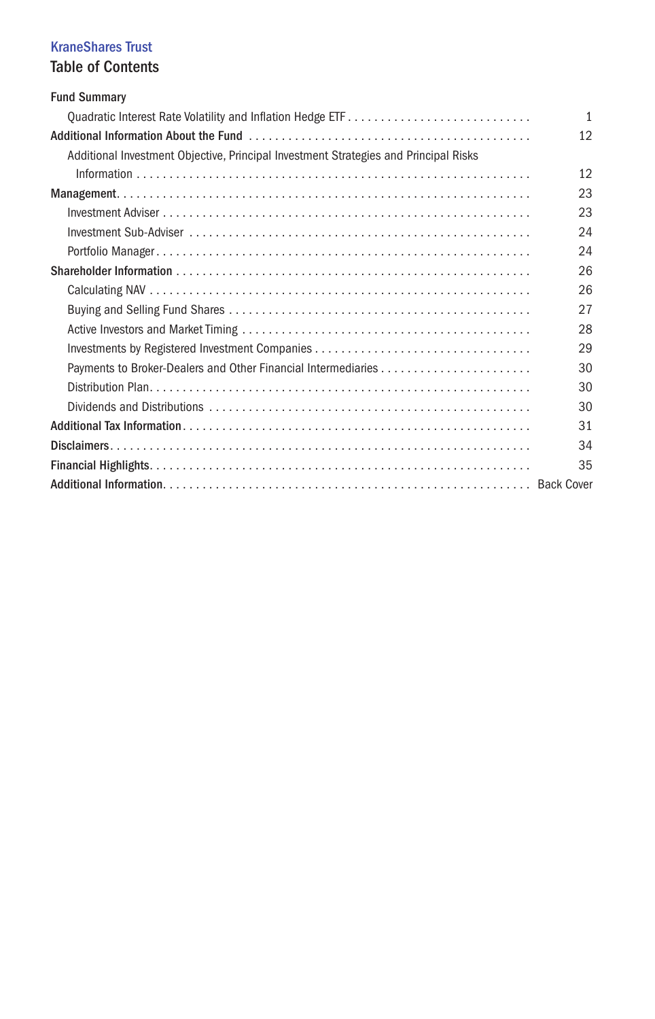# KraneShares Trust

# Table of Contents

| <b>Fund Summary</b>                                                                  |              |
|--------------------------------------------------------------------------------------|--------------|
|                                                                                      | $\mathbf{1}$ |
|                                                                                      | 12           |
| Additional Investment Objective, Principal Investment Strategies and Principal Risks |              |
|                                                                                      | 12           |
|                                                                                      | 23           |
|                                                                                      | 23           |
|                                                                                      | 24           |
|                                                                                      | 24           |
|                                                                                      | 26           |
|                                                                                      | 26           |
|                                                                                      | 27           |
|                                                                                      | 28           |
|                                                                                      | 29           |
|                                                                                      | 30           |
|                                                                                      | 30           |
|                                                                                      | 30           |
|                                                                                      | 31           |
|                                                                                      | 34           |
|                                                                                      | 35           |
|                                                                                      |              |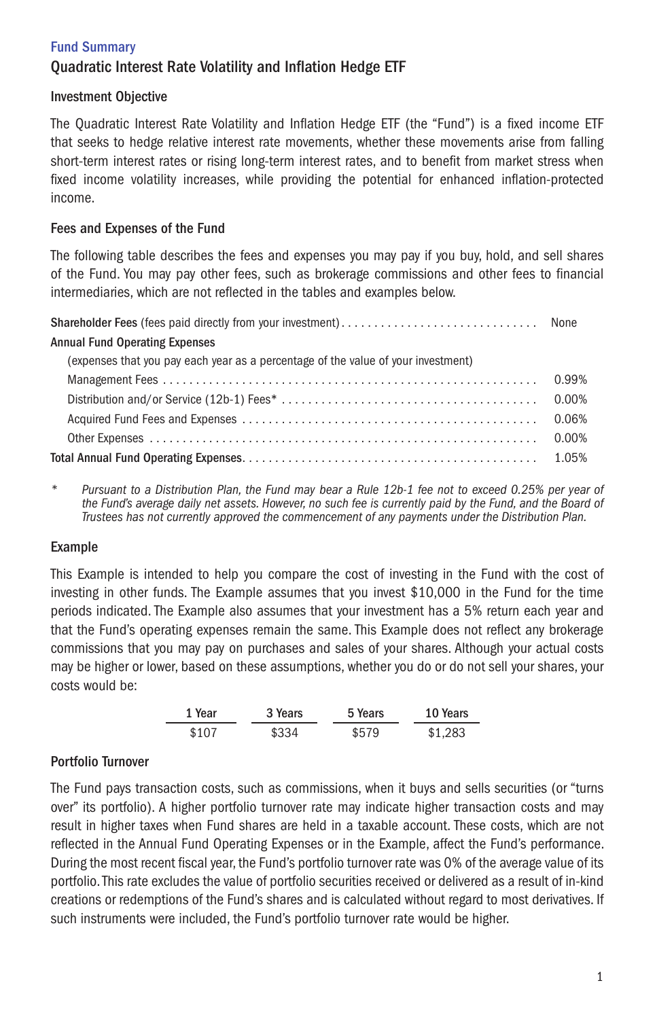# Quadratic Interest Rate Volatility and Inflation Hedge ETF

### Investment Objective

The Quadratic Interest Rate Volatility and Inflation Hedge ETF (the "Fund") is a fixed income ETF that seeks to hedge relative interest rate movements, whether these movements arise from falling short-term interest rates or rising long-term interest rates, and to benefit from market stress when fixed income volatility increases, while providing the potential for enhanced inflation-protected income.

### Fees and Expenses of the Fund

The following table describes the fees and expenses you may pay if you buy, hold, and sell shares of the Fund. You may pay other fees, such as brokerage commissions and other fees to financial intermediaries, which are not reflected in the tables and examples below.

| <b>Annual Fund Operating Expenses</b>                                             |       |
|-----------------------------------------------------------------------------------|-------|
| (expenses that you pay each year as a percentage of the value of your investment) |       |
|                                                                                   | 0.99% |
|                                                                                   |       |
|                                                                                   |       |
|                                                                                   | 0.00% |
|                                                                                   |       |

*\* Pursuant to a Distribution Plan, the Fund may bear a Rule 12b-1 fee not to exceed 0.25% per year of the Fund's average daily net assets. However, no such fee is currently paid by the Fund, and the Board of Trustees has not currently approved the commencement of any payments under the Distribution Plan.*

# Example

This Example is intended to help you compare the cost of investing in the Fund with the cost of investing in other funds. The Example assumes that you invest \$10,000 in the Fund for the time periods indicated. The Example also assumes that your investment has a 5% return each year and that the Fund's operating expenses remain the same. This Example does not reflect any brokerage commissions that you may pay on purchases and sales of your shares. Although your actual costs may be higher or lower, based on these assumptions, whether you do or do not sell your shares, your costs would be:

| 1 Year | 3 Years | 5 Years | 10 Years |
|--------|---------|---------|----------|
| \$107  | \$334   | \$579   | \$1.283  |

# Portfolio Turnover

The Fund pays transaction costs, such as commissions, when it buys and sells securities (or "turns over" its portfolio). A higher portfolio turnover rate may indicate higher transaction costs and may result in higher taxes when Fund shares are held in a taxable account. These costs, which are not reflected in the Annual Fund Operating Expenses or in the Example, affect the Fund's performance. During the most recent fiscal year, the Fund's portfolio turnover rate was 0% of the average value of its portfolio. This rate excludes the value of portfolio securities received or delivered as a result of in-kind creations or redemptions of the Fund's shares and is calculated without regard to most derivatives. If such instruments were included, the Fund's portfolio turnover rate would be higher.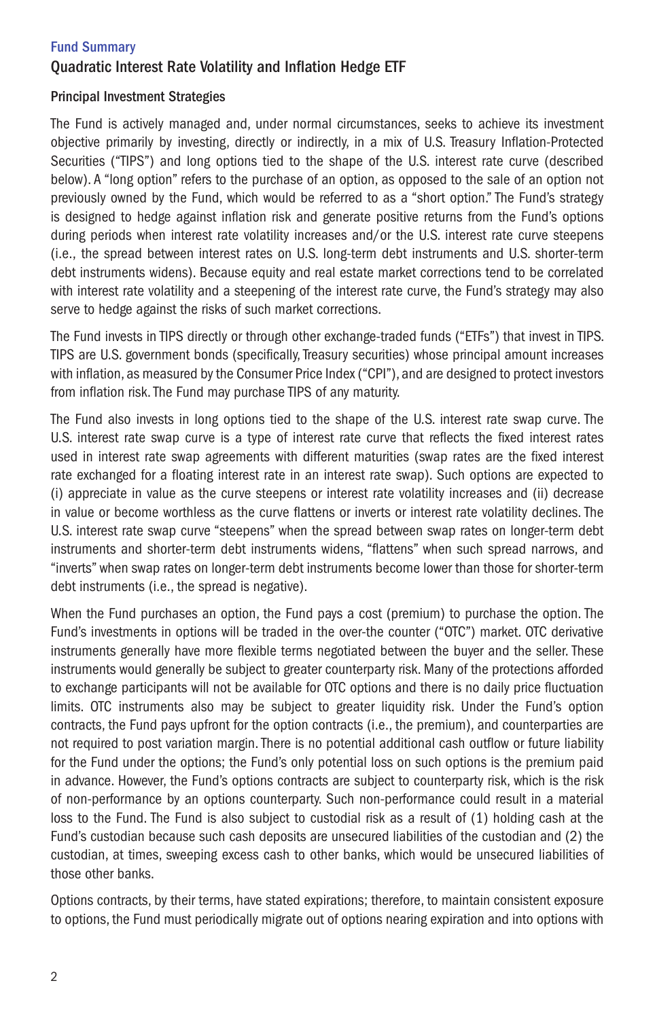# Quadratic Interest Rate Volatility and Inflation Hedge ETF

### Principal Investment Strategies

The Fund is actively managed and, under normal circumstances, seeks to achieve its investment objective primarily by investing, directly or indirectly, in a mix of U.S. Treasury Inflation-Protected Securities ("TIPS") and long options tied to the shape of the U.S. interest rate curve (described below). A "long option" refers to the purchase of an option, as opposed to the sale of an option not previously owned by the Fund, which would be referred to as a "short option." The Fund's strategy is designed to hedge against inflation risk and generate positive returns from the Fund's options during periods when interest rate volatility increases and/or the U.S. interest rate curve steepens (i.e., the spread between interest rates on U.S. long-term debt instruments and U.S. shorter-term debt instruments widens). Because equity and real estate market corrections tend to be correlated with interest rate volatility and a steepening of the interest rate curve, the Fund's strategy may also serve to hedge against the risks of such market corrections.

The Fund invests in TIPS directly or through other exchange-traded funds ("ETFs") that invest in TIPS. TIPS are U.S. government bonds (specifically, Treasury securities) whose principal amount increases with inflation, as measured by the Consumer Price Index ("CPI"), and are designed to protect investors from inflation risk. The Fund may purchase TIPS of any maturity.

The Fund also invests in long options tied to the shape of the U.S. interest rate swap curve. The U.S. interest rate swap curve is a type of interest rate curve that reflects the fixed interest rates used in interest rate swap agreements with different maturities (swap rates are the fixed interest rate exchanged for a floating interest rate in an interest rate swap). Such options are expected to (i) appreciate in value as the curve steepens or interest rate volatility increases and (ii) decrease in value or become worthless as the curve flattens or inverts or interest rate volatility declines. The U.S. interest rate swap curve "steepens" when the spread between swap rates on longer-term debt instruments and shorter-term debt instruments widens, "flattens" when such spread narrows, and "inverts" when swap rates on longer-term debt instruments become lower than those for shorter-term debt instruments (i.e., the spread is negative).

When the Fund purchases an option, the Fund pays a cost (premium) to purchase the option. The Fund's investments in options will be traded in the over-the counter ("OTC") market. OTC derivative instruments generally have more flexible terms negotiated between the buyer and the seller. These instruments would generally be subject to greater counterparty risk. Many of the protections afforded to exchange participants will not be available for OTC options and there is no daily price fluctuation limits. OTC instruments also may be subject to greater liquidity risk. Under the Fund's option contracts, the Fund pays upfront for the option contracts (i.e., the premium), and counterparties are not required to post variation margin. There is no potential additional cash outflow or future liability for the Fund under the options; the Fund's only potential loss on such options is the premium paid in advance. However, the Fund's options contracts are subject to counterparty risk, which is the risk of non-performance by an options counterparty. Such non-performance could result in a material loss to the Fund. The Fund is also subject to custodial risk as a result of (1) holding cash at the Fund's custodian because such cash deposits are unsecured liabilities of the custodian and (2) the custodian, at times, sweeping excess cash to other banks, which would be unsecured liabilities of those other banks.

Options contracts, by their terms, have stated expirations; therefore, to maintain consistent exposure to options, the Fund must periodically migrate out of options nearing expiration and into options with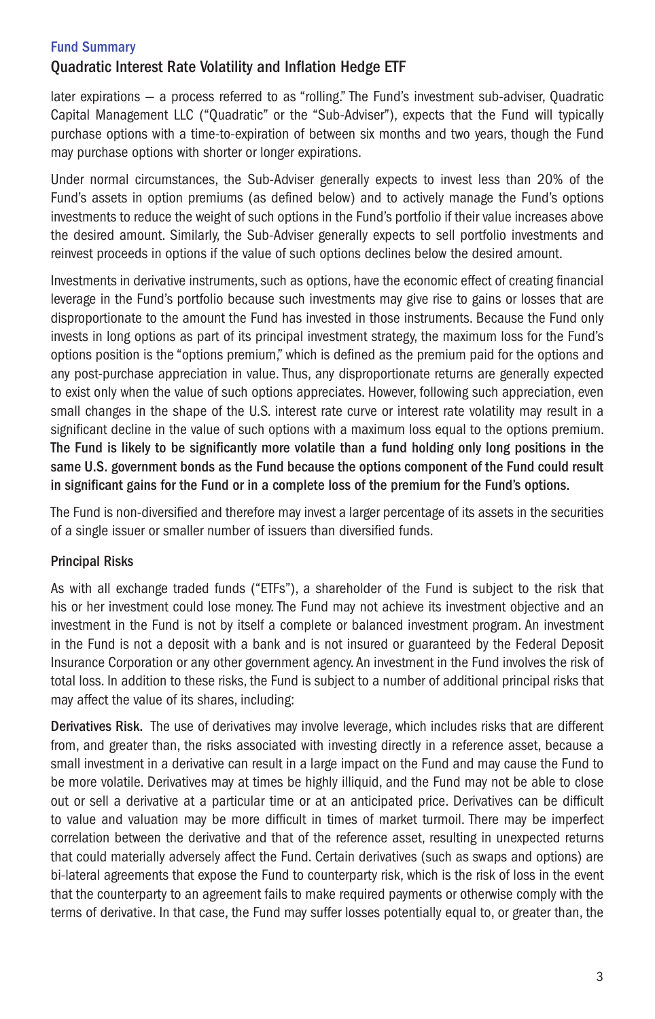# Quadratic Interest Rate Volatility and Inflation Hedge ETF

later expirations — a process referred to as "rolling." The Fund's investment sub-adviser, Quadratic Capital Management LLC ("Quadratic" or the "Sub-Adviser"), expects that the Fund will typically purchase options with a time-to-expiration of between six months and two years, though the Fund may purchase options with shorter or longer expirations.

Under normal circumstances, the Sub-Adviser generally expects to invest less than 20% of the Fund's assets in option premiums (as defined below) and to actively manage the Fund's options investments to reduce the weight of such options in the Fund's portfolio if their value increases above the desired amount. Similarly, the Sub-Adviser generally expects to sell portfolio investments and reinvest proceeds in options if the value of such options declines below the desired amount.

Investments in derivative instruments, such as options, have the economic effect of creating financial leverage in the Fund's portfolio because such investments may give rise to gains or losses that are disproportionate to the amount the Fund has invested in those instruments. Because the Fund only invests in long options as part of its principal investment strategy, the maximum loss for the Fund's options position is the "options premium," which is defined as the premium paid for the options and any post-purchase appreciation in value. Thus, any disproportionate returns are generally expected to exist only when the value of such options appreciates. However, following such appreciation, even small changes in the shape of the U.S. interest rate curve or interest rate volatility may result in a significant decline in the value of such options with a maximum loss equal to the options premium. The Fund is likely to be significantly more volatile than a fund holding only long positions in the same U.S. government bonds as the Fund because the options component of the Fund could result in significant gains for the Fund or in a complete loss of the premium for the Fund's options.

The Fund is non-diversified and therefore may invest a larger percentage of its assets in the securities of a single issuer or smaller number of issuers than diversified funds.

# Principal Risks

As with all exchange traded funds ("ETFs"), a shareholder of the Fund is subject to the risk that his or her investment could lose money. The Fund may not achieve its investment objective and an investment in the Fund is not by itself a complete or balanced investment program. An investment in the Fund is not a deposit with a bank and is not insured or guaranteed by the Federal Deposit Insurance Corporation or any other government agency. An investment in the Fund involves the risk of total loss. In addition to these risks, the Fund is subject to a number of additional principal risks that may affect the value of its shares, including:

Derivatives Risk. The use of derivatives may involve leverage, which includes risks that are different from, and greater than, the risks associated with investing directly in a reference asset, because a small investment in a derivative can result in a large impact on the Fund and may cause the Fund to be more volatile. Derivatives may at times be highly illiquid, and the Fund may not be able to close out or sell a derivative at a particular time or at an anticipated price. Derivatives can be difficult to value and valuation may be more difficult in times of market turmoil. There may be imperfect correlation between the derivative and that of the reference asset, resulting in unexpected returns that could materially adversely affect the Fund. Certain derivatives (such as swaps and options) are bi-lateral agreements that expose the Fund to counterparty risk, which is the risk of loss in the event that the counterparty to an agreement fails to make required payments or otherwise comply with the terms of derivative. In that case, the Fund may suffer losses potentially equal to, or greater than, the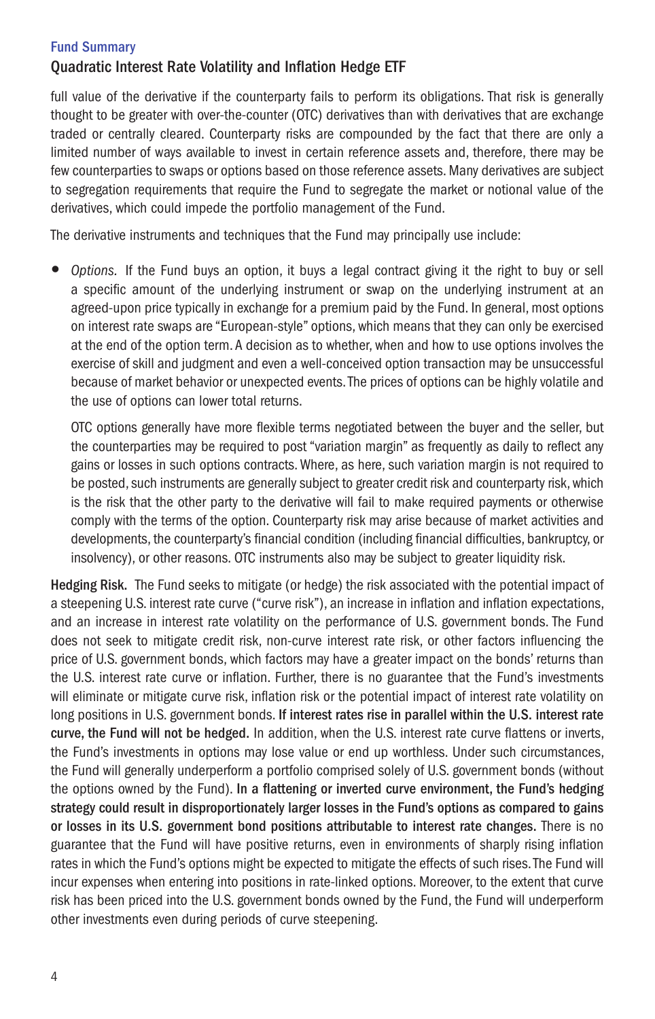# Quadratic Interest Rate Volatility and Inflation Hedge ETF

full value of the derivative if the counterparty fails to perform its obligations. That risk is generally thought to be greater with over-the-counter (OTC) derivatives than with derivatives that are exchange traded or centrally cleared. Counterparty risks are compounded by the fact that there are only a limited number of ways available to invest in certain reference assets and, therefore, there may be few counterparties to swaps or options based on those reference assets. Many derivatives are subject to segregation requirements that require the Fund to segregate the market or notional value of the derivatives, which could impede the portfolio management of the Fund.

The derivative instruments and techniques that the Fund may principally use include:

y *Options.* If the Fund buys an option, it buys a legal contract giving it the right to buy or sell a specific amount of the underlying instrument or swap on the underlying instrument at an agreed-upon price typically in exchange for a premium paid by the Fund. In general, most options on interest rate swaps are "European-style" options, which means that they can only be exercised at the end of the option term. A decision as to whether, when and how to use options involves the exercise of skill and judgment and even a well-conceived option transaction may be unsuccessful because of market behavior or unexpected events. The prices of options can be highly volatile and the use of options can lower total returns.

OTC options generally have more flexible terms negotiated between the buyer and the seller, but the counterparties may be required to post "variation margin" as frequently as daily to reflect any gains or losses in such options contracts. Where, as here, such variation margin is not required to be posted, such instruments are generally subject to greater credit risk and counterparty risk, which is the risk that the other party to the derivative will fail to make required payments or otherwise comply with the terms of the option. Counterparty risk may arise because of market activities and developments, the counterparty's financial condition (including financial difficulties, bankruptcy, or insolvency), or other reasons. OTC instruments also may be subject to greater liquidity risk.

Hedging Risk. The Fund seeks to mitigate (or hedge) the risk associated with the potential impact of a steepening U.S. interest rate curve ("curve risk"), an increase in inflation and inflation expectations, and an increase in interest rate volatility on the performance of U.S. government bonds. The Fund does not seek to mitigate credit risk, non-curve interest rate risk, or other factors influencing the price of U.S. government bonds, which factors may have a greater impact on the bonds' returns than the U.S. interest rate curve or inflation. Further, there is no guarantee that the Fund's investments will eliminate or mitigate curve risk, inflation risk or the potential impact of interest rate volatility on long positions in U.S. government bonds. If interest rates rise in parallel within the U.S. interest rate curve, the Fund will not be hedged. In addition, when the U.S. interest rate curve flattens or inverts, the Fund's investments in options may lose value or end up worthless. Under such circumstances, the Fund will generally underperform a portfolio comprised solely of U.S. government bonds (without the options owned by the Fund). In a flattening or inverted curve environment, the Fund's hedging strategy could result in disproportionately larger losses in the Fund's options as compared to gains or losses in its U.S. government bond positions attributable to interest rate changes. There is no guarantee that the Fund will have positive returns, even in environments of sharply rising inflation rates in which the Fund's options might be expected to mitigate the effects of such rises. The Fund will incur expenses when entering into positions in rate-linked options. Moreover, to the extent that curve risk has been priced into the U.S. government bonds owned by the Fund, the Fund will underperform other investments even during periods of curve steepening.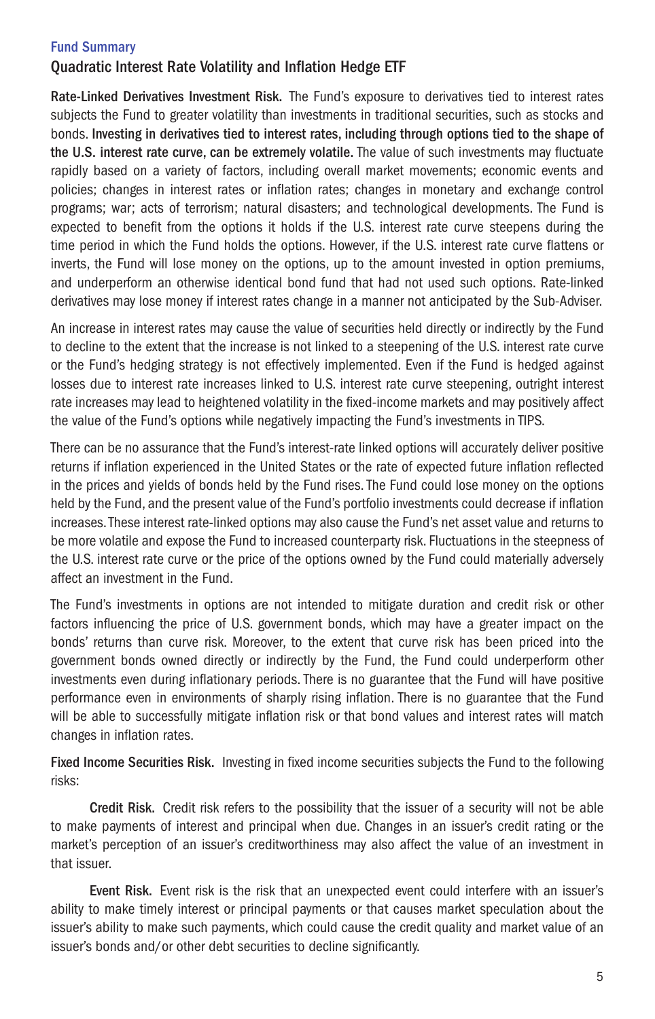# Quadratic Interest Rate Volatility and Inflation Hedge ETF

Rate-Linked Derivatives Investment Risk. The Fund's exposure to derivatives tied to interest rates subjects the Fund to greater volatility than investments in traditional securities, such as stocks and bonds. Investing in derivatives tied to interest rates, including through options tied to the shape of the U.S. interest rate curve, can be extremely volatile. The value of such investments may fluctuate rapidly based on a variety of factors, including overall market movements; economic events and policies; changes in interest rates or inflation rates; changes in monetary and exchange control programs; war; acts of terrorism; natural disasters; and technological developments. The Fund is expected to benefit from the options it holds if the U.S. interest rate curve steepens during the time period in which the Fund holds the options. However, if the U.S. interest rate curve flattens or inverts, the Fund will lose money on the options, up to the amount invested in option premiums, and underperform an otherwise identical bond fund that had not used such options. Rate-linked derivatives may lose money if interest rates change in a manner not anticipated by the Sub-Adviser.

An increase in interest rates may cause the value of securities held directly or indirectly by the Fund to decline to the extent that the increase is not linked to a steepening of the U.S. interest rate curve or the Fund's hedging strategy is not effectively implemented. Even if the Fund is hedged against losses due to interest rate increases linked to U.S. interest rate curve steepening, outright interest rate increases may lead to heightened volatility in the fixed-income markets and may positively affect the value of the Fund's options while negatively impacting the Fund's investments in TIPS.

There can be no assurance that the Fund's interest-rate linked options will accurately deliver positive returns if inflation experienced in the United States or the rate of expected future inflation reflected in the prices and yields of bonds held by the Fund rises. The Fund could lose money on the options held by the Fund, and the present value of the Fund's portfolio investments could decrease if inflation increases. These interest rate-linked options may also cause the Fund's net asset value and returns to be more volatile and expose the Fund to increased counterparty risk. Fluctuations in the steepness of the U.S. interest rate curve or the price of the options owned by the Fund could materially adversely affect an investment in the Fund.

The Fund's investments in options are not intended to mitigate duration and credit risk or other factors influencing the price of U.S. government bonds, which may have a greater impact on the bonds' returns than curve risk. Moreover, to the extent that curve risk has been priced into the government bonds owned directly or indirectly by the Fund, the Fund could underperform other investments even during inflationary periods. There is no guarantee that the Fund will have positive performance even in environments of sharply rising inflation. There is no guarantee that the Fund will be able to successfully mitigate inflation risk or that bond values and interest rates will match changes in inflation rates.

Fixed Income Securities Risk. Investing in fixed income securities subjects the Fund to the following risks:

Credit Risk. Credit risk refers to the possibility that the issuer of a security will not be able to make payments of interest and principal when due. Changes in an issuer's credit rating or the market's perception of an issuer's creditworthiness may also affect the value of an investment in that issuer.

Event Risk. Event risk is the risk that an unexpected event could interfere with an issuer's ability to make timely interest or principal payments or that causes market speculation about the issuer's ability to make such payments, which could cause the credit quality and market value of an issuer's bonds and/or other debt securities to decline significantly.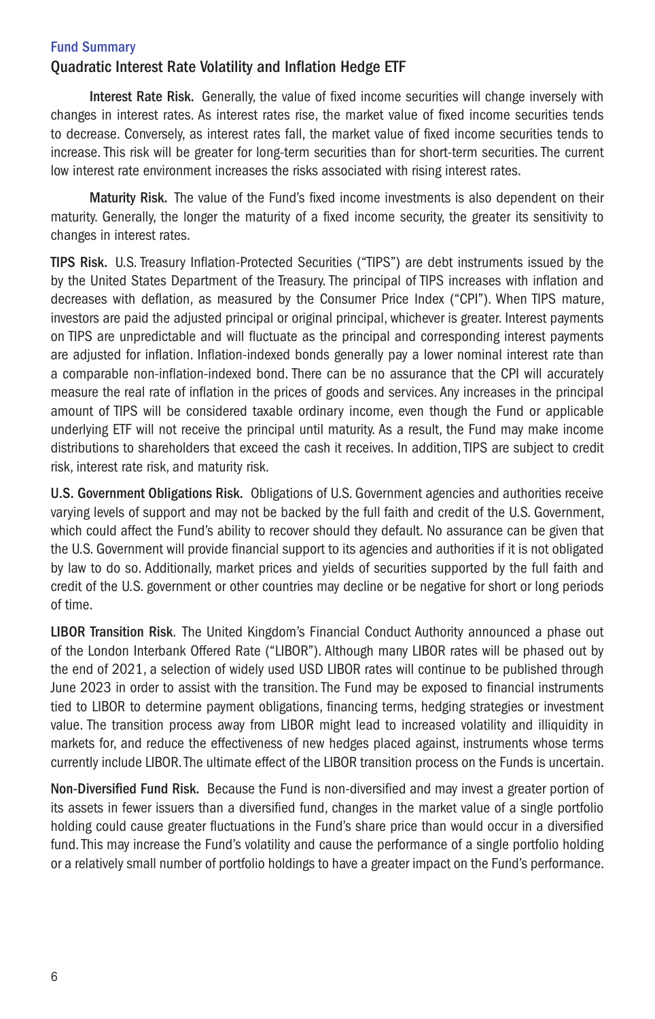# Quadratic Interest Rate Volatility and Inflation Hedge ETF

Interest Rate Risk. Generally, the value of fixed income securities will change inversely with changes in interest rates. As interest rates rise, the market value of fixed income securities tends to decrease. Conversely, as interest rates fall, the market value of fixed income securities tends to increase. This risk will be greater for long-term securities than for short-term securities. The current low interest rate environment increases the risks associated with rising interest rates.

Maturity Risk. The value of the Fund's fixed income investments is also dependent on their maturity. Generally, the longer the maturity of a fixed income security, the greater its sensitivity to changes in interest rates.

TIPS Risk. U.S. Treasury Inflation-Protected Securities ("TIPS") are debt instruments issued by the by the United States Department of the Treasury. The principal of TIPS increases with inflation and decreases with deflation, as measured by the Consumer Price Index ("CPI"). When TIPS mature, investors are paid the adjusted principal or original principal, whichever is greater. Interest payments on TIPS are unpredictable and will fluctuate as the principal and corresponding interest payments are adjusted for inflation. Inflation-indexed bonds generally pay a lower nominal interest rate than a comparable non-inflation-indexed bond. There can be no assurance that the CPI will accurately measure the real rate of inflation in the prices of goods and services. Any increases in the principal amount of TIPS will be considered taxable ordinary income, even though the Fund or applicable underlying ETF will not receive the principal until maturity. As a result, the Fund may make income distributions to shareholders that exceed the cash it receives. In addition, TIPS are subject to credit risk, interest rate risk, and maturity risk.

U.S. Government Obligations Risk. Obligations of U.S. Government agencies and authorities receive varying levels of support and may not be backed by the full faith and credit of the U.S. Government, which could affect the Fund's ability to recover should they default. No assurance can be given that the U.S. Government will provide financial support to its agencies and authorities if it is not obligated by law to do so. Additionally, market prices and yields of securities supported by the full faith and credit of the U.S. government or other countries may decline or be negative for short or long periods of time.

LIBOR Transition Risk. The United Kingdom's Financial Conduct Authority announced a phase out of the London Interbank Offered Rate ("LIBOR"). Although many LIBOR rates will be phased out by the end of 2021, a selection of widely used USD LIBOR rates will continue to be published through June 2023 in order to assist with the transition. The Fund may be exposed to financial instruments tied to LIBOR to determine payment obligations, financing terms, hedging strategies or investment value. The transition process away from LIBOR might lead to increased volatility and illiquidity in markets for, and reduce the effectiveness of new hedges placed against, instruments whose terms currently include LIBOR. The ultimate effect of the LIBOR transition process on the Funds is uncertain.

Non-Diversified Fund Risk. Because the Fund is non-diversified and may invest a greater portion of its assets in fewer issuers than a diversified fund, changes in the market value of a single portfolio holding could cause greater fluctuations in the Fund's share price than would occur in a diversified fund. This may increase the Fund's volatility and cause the performance of a single portfolio holding or a relatively small number of portfolio holdings to have a greater impact on the Fund's performance.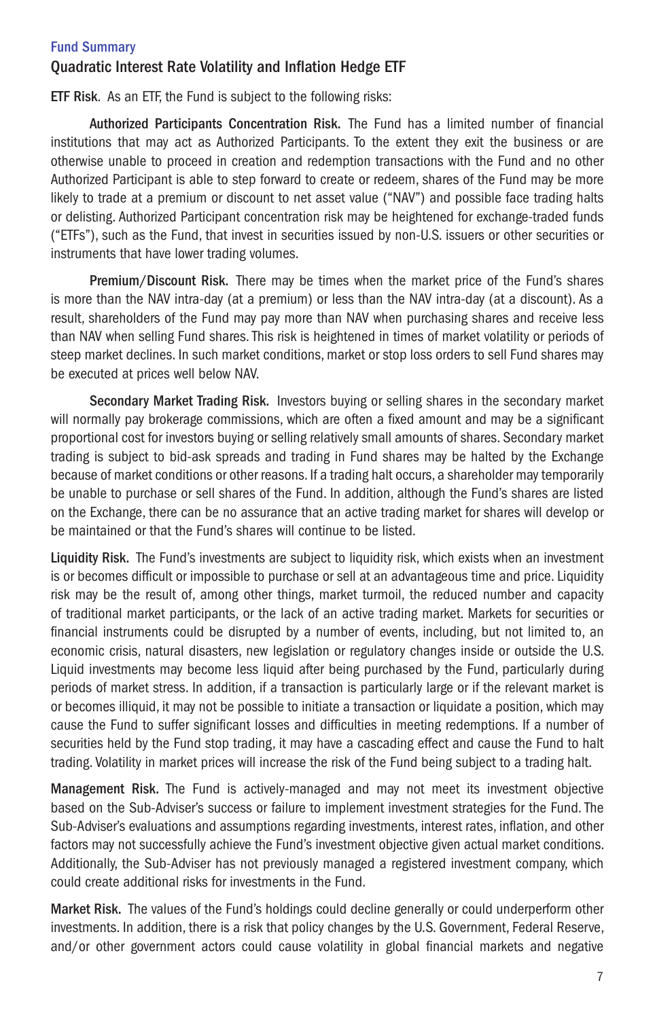# Quadratic Interest Rate Volatility and Inflation Hedge ETF

ETF Risk. As an ETF, the Fund is subject to the following risks:

Authorized Participants Concentration Risk. The Fund has a limited number of financial institutions that may act as Authorized Participants. To the extent they exit the business or are otherwise unable to proceed in creation and redemption transactions with the Fund and no other Authorized Participant is able to step forward to create or redeem, shares of the Fund may be more likely to trade at a premium or discount to net asset value ("NAV") and possible face trading halts or delisting. Authorized Participant concentration risk may be heightened for exchange-traded funds ("ETFs"), such as the Fund, that invest in securities issued by non-U.S. issuers or other securities or instruments that have lower trading volumes.

Premium/Discount Risk. There may be times when the market price of the Fund's shares is more than the NAV intra-day (at a premium) or less than the NAV intra-day (at a discount). As a result, shareholders of the Fund may pay more than NAV when purchasing shares and receive less than NAV when selling Fund shares. This risk is heightened in times of market volatility or periods of steep market declines. In such market conditions, market or stop loss orders to sell Fund shares may be executed at prices well below NAV.

Secondary Market Trading Risk. Investors buying or selling shares in the secondary market will normally pay brokerage commissions, which are often a fixed amount and may be a significant proportional cost for investors buying or selling relatively small amounts of shares. Secondary market trading is subject to bid-ask spreads and trading in Fund shares may be halted by the Exchange because of market conditions or other reasons. If a trading halt occurs, a shareholder may temporarily be unable to purchase or sell shares of the Fund. In addition, although the Fund's shares are listed on the Exchange, there can be no assurance that an active trading market for shares will develop or be maintained or that the Fund's shares will continue to be listed.

Liquidity Risk. The Fund's investments are subject to liquidity risk, which exists when an investment is or becomes difficult or impossible to purchase or sell at an advantageous time and price. Liquidity risk may be the result of, among other things, market turmoil, the reduced number and capacity of traditional market participants, or the lack of an active trading market. Markets for securities or financial instruments could be disrupted by a number of events, including, but not limited to, an economic crisis, natural disasters, new legislation or regulatory changes inside or outside the U.S. Liquid investments may become less liquid after being purchased by the Fund, particularly during periods of market stress. In addition, if a transaction is particularly large or if the relevant market is or becomes illiquid, it may not be possible to initiate a transaction or liquidate a position, which may cause the Fund to suffer significant losses and difficulties in meeting redemptions. If a number of securities held by the Fund stop trading, it may have a cascading effect and cause the Fund to halt trading. Volatility in market prices will increase the risk of the Fund being subject to a trading halt.

Management Risk. The Fund is actively-managed and may not meet its investment objective based on the Sub-Adviser's success or failure to implement investment strategies for the Fund. The Sub-Adviser's evaluations and assumptions regarding investments, interest rates, inflation, and other factors may not successfully achieve the Fund's investment objective given actual market conditions. Additionally, the Sub-Adviser has not previously managed a registered investment company, which could create additional risks for investments in the Fund.

Market Risk. The values of the Fund's holdings could decline generally or could underperform other investments. In addition, there is a risk that policy changes by the U.S. Government, Federal Reserve, and/or other government actors could cause volatility in global financial markets and negative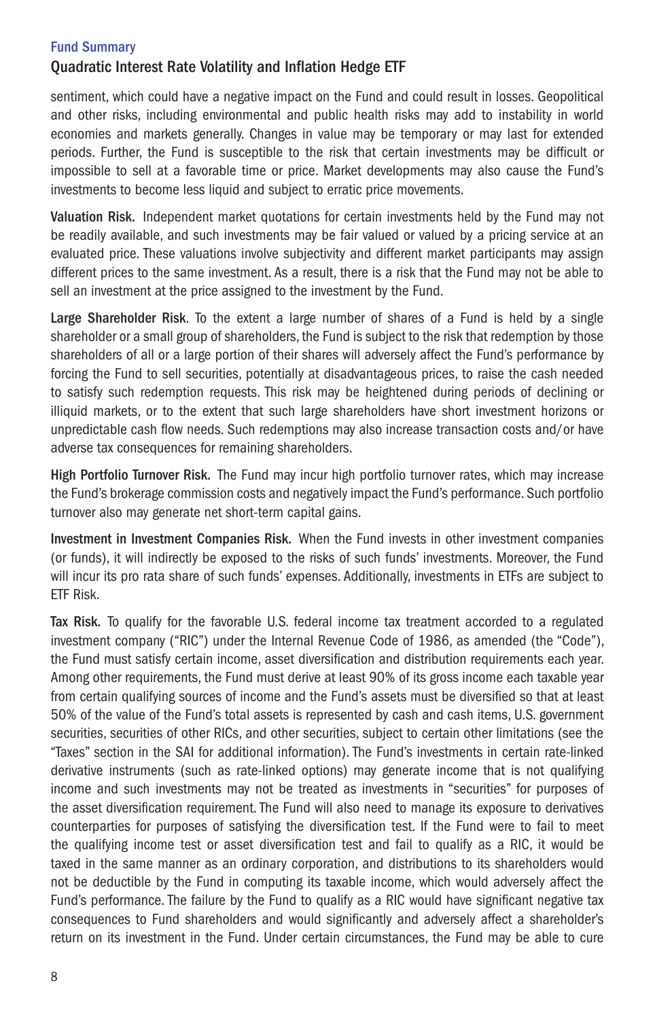# Quadratic Interest Rate Volatility and Inflation Hedge ETF

sentiment, which could have a negative impact on the Fund and could result in losses. Geopolitical and other risks, including environmental and public health risks may add to instability in world economies and markets generally. Changes in value may be temporary or may last for extended periods. Further, the Fund is susceptible to the risk that certain investments may be difficult or impossible to sell at a favorable time or price. Market developments may also cause the Fund's investments to become less liquid and subject to erratic price movements.

Valuation Risk. Independent market quotations for certain investments held by the Fund may not be readily available, and such investments may be fair valued or valued by a pricing service at an evaluated price. These valuations involve subjectivity and different market participants may assign different prices to the same investment. As a result, there is a risk that the Fund may not be able to sell an investment at the price assigned to the investment by the Fund.

Large Shareholder Risk. To the extent a large number of shares of a Fund is held by a single shareholder or a small group of shareholders, the Fund is subject to the risk that redemption by those shareholders of all or a large portion of their shares will adversely affect the Fund's performance by forcing the Fund to sell securities, potentially at disadvantageous prices, to raise the cash needed to satisfy such redemption requests. This risk may be heightened during periods of declining or illiquid markets, or to the extent that such large shareholders have short investment horizons or unpredictable cash flow needs. Such redemptions may also increase transaction costs and/or have adverse tax consequences for remaining shareholders.

High Portfolio Turnover Risk. The Fund may incur high portfolio turnover rates, which may increase the Fund's brokerage commission costs and negatively impact the Fund's performance. Such portfolio turnover also may generate net short-term capital gains.

Investment in Investment Companies Risk. When the Fund invests in other investment companies (or funds), it will indirectly be exposed to the risks of such funds' investments. Moreover, the Fund will incur its pro rata share of such funds' expenses. Additionally, investments in ETFs are subject to ETF Risk.

Tax Risk. To qualify for the favorable U.S. federal income tax treatment accorded to a regulated investment company ("RIC") under the Internal Revenue Code of 1986, as amended (the "Code"), the Fund must satisfy certain income, asset diversification and distribution requirements each year. Among other requirements, the Fund must derive at least 90% of its gross income each taxable year from certain qualifying sources of income and the Fund's assets must be diversified so that at least 50% of the value of the Fund's total assets is represented by cash and cash items, U.S. government securities, securities of other RICs, and other securities, subject to certain other limitations (see the "Taxes" section in the SAI for additional information). The Fund's investments in certain rate-linked derivative instruments (such as rate-linked options) may generate income that is not qualifying income and such investments may not be treated as investments in "securities" for purposes of the asset diversification requirement. The Fund will also need to manage its exposure to derivatives counterparties for purposes of satisfying the diversification test. If the Fund were to fail to meet the qualifying income test or asset diversification test and fail to qualify as a RIC, it would be taxed in the same manner as an ordinary corporation, and distributions to its shareholders would not be deductible by the Fund in computing its taxable income, which would adversely affect the Fund's performance. The failure by the Fund to qualify as a RIC would have significant negative tax consequences to Fund shareholders and would significantly and adversely affect a shareholder's return on its investment in the Fund. Under certain circumstances, the Fund may be able to cure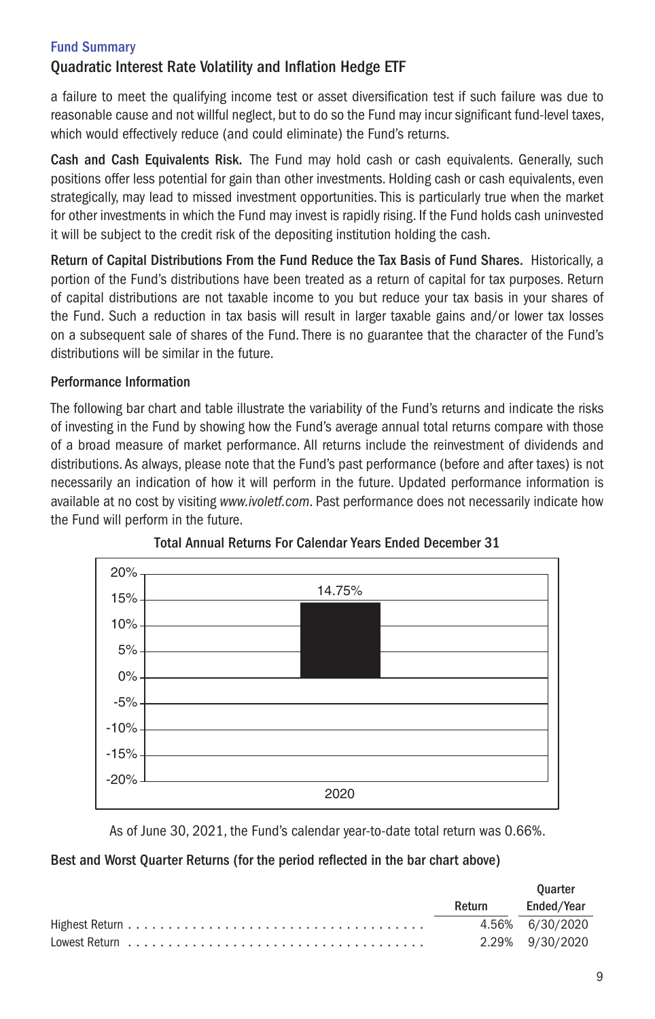# Quadratic Interest Rate Volatility and Inflation Hedge ETF

a failure to meet the qualifying income test or asset diversification test if such failure was due to reasonable cause and not willful neglect, but to do so the Fund may incur significant fund-level taxes, which would effectively reduce (and could eliminate) the Fund's returns.

Cash and Cash Equivalents Risk. The Fund may hold cash or cash equivalents. Generally, such positions offer less potential for gain than other investments. Holding cash or cash equivalents, even strategically, may lead to missed investment opportunities. This is particularly true when the market for other investments in which the Fund may invest is rapidly rising. If the Fund holds cash uninvested it will be subject to the credit risk of the depositing institution holding the cash.

Return of Capital Distributions From the Fund Reduce the Tax Basis of Fund Shares. Historically, a portion of the Fund's distributions have been treated as a return of capital for tax purposes. Return of capital distributions are not taxable income to you but reduce your tax basis in your shares of the Fund. Such a reduction in tax basis will result in larger taxable gains and/or lower tax losses on a subsequent sale of shares of the Fund. There is no guarantee that the character of the Fund's distributions will be similar in the future.

# Performance Information

The following bar chart and table illustrate the variability of the Fund's returns and indicate the risks of investing in the Fund by showing how the Fund's average annual total returns compare with those of a broad measure of market performance. All returns include the reinvestment of dividends and distributions. As always, please note that the Fund's past performance (before and after taxes) is not necessarily an indication of how it will perform in the future. Updated performance information is available at no cost by visiting *www.ivoletf.com*. Past performance does not necessarily indicate how the Fund will perform in the future.





As of June 30, 2021, the Fund's calendar year-to-date total return was 0.66%.

# Best and Worst Quarter Returns (for the period reflected in the bar chart above)

|                                                                                       |        | <b>Ouarter</b>  |
|---------------------------------------------------------------------------------------|--------|-----------------|
|                                                                                       | Return | Ended/Year      |
|                                                                                       |        | 4.56% 6/30/2020 |
| Lowest Return $\ldots \ldots \ldots \ldots \ldots \ldots \ldots \ldots \ldots \ldots$ |        | 2.29% 9/30/2020 |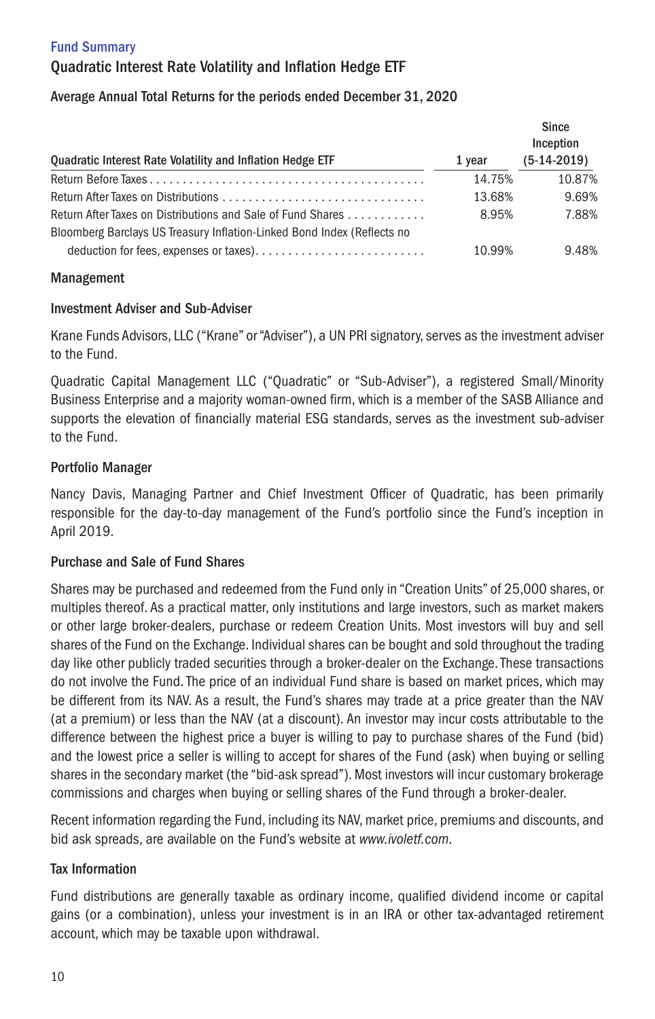# Fund Summary Quadratic Interest Rate Volatility and Inflation Hedge ETF

# Average Annual Total Returns for the periods ended December 31, 2020

| Quadratic Interest Rate Volatility and Inflation Hedge ETF                                                                             | 1 vear | Since<br>Inception<br>$(5-14-2019)$ |
|----------------------------------------------------------------------------------------------------------------------------------------|--------|-------------------------------------|
|                                                                                                                                        | 14.75% | 10.87%                              |
|                                                                                                                                        | 13.68% | 9.69%                               |
| Return After Taxes on Distributions and Sale of Fund Shares<br>Bloomberg Barclays US Treasury Inflation-Linked Bond Index (Reflects no | 8.95%  | 7.88%                               |
|                                                                                                                                        | 10.99% | 9.48%                               |

# Management

# Investment Adviser and Sub-Adviser

Krane Funds Advisors, LLC ("Krane" or "Adviser"), a UN PRI signatory, serves as the investment adviser to the Fund.

Quadratic Capital Management LLC ("Quadratic" or "Sub-Adviser"), a registered Small/Minority Business Enterprise and a majority woman-owned firm, which is a member of the SASB Alliance and supports the elevation of financially material ESG standards, serves as the investment sub-adviser to the Fund.

# Portfolio Manager

Nancy Davis, Managing Partner and Chief Investment Officer of Quadratic, has been primarily responsible for the day-to-day management of the Fund's portfolio since the Fund's inception in April 2019.

# Purchase and Sale of Fund Shares

Shares may be purchased and redeemed from the Fund only in "Creation Units" of 25,000 shares, or multiples thereof. As a practical matter, only institutions and large investors, such as market makers or other large broker-dealers, purchase or redeem Creation Units. Most investors will buy and sell shares of the Fund on the Exchange. Individual shares can be bought and sold throughout the trading day like other publicly traded securities through a broker-dealer on the Exchange. These transactions do not involve the Fund. The price of an individual Fund share is based on market prices, which may be different from its NAV. As a result, the Fund's shares may trade at a price greater than the NAV (at a premium) or less than the NAV (at a discount). An investor may incur costs attributable to the difference between the highest price a buyer is willing to pay to purchase shares of the Fund (bid) and the lowest price a seller is willing to accept for shares of the Fund (ask) when buying or selling shares in the secondary market (the "bid-ask spread"). Most investors will incur customary brokerage commissions and charges when buying or selling shares of the Fund through a broker-dealer.

Recent information regarding the Fund, including its NAV, market price, premiums and discounts, and bid ask spreads, are available on the Fund's website at *www.ivoletf.com*.

# Tax Information

Fund distributions are generally taxable as ordinary income, qualified dividend income or capital gains (or a combination), unless your investment is in an IRA or other tax-advantaged retirement account, which may be taxable upon withdrawal.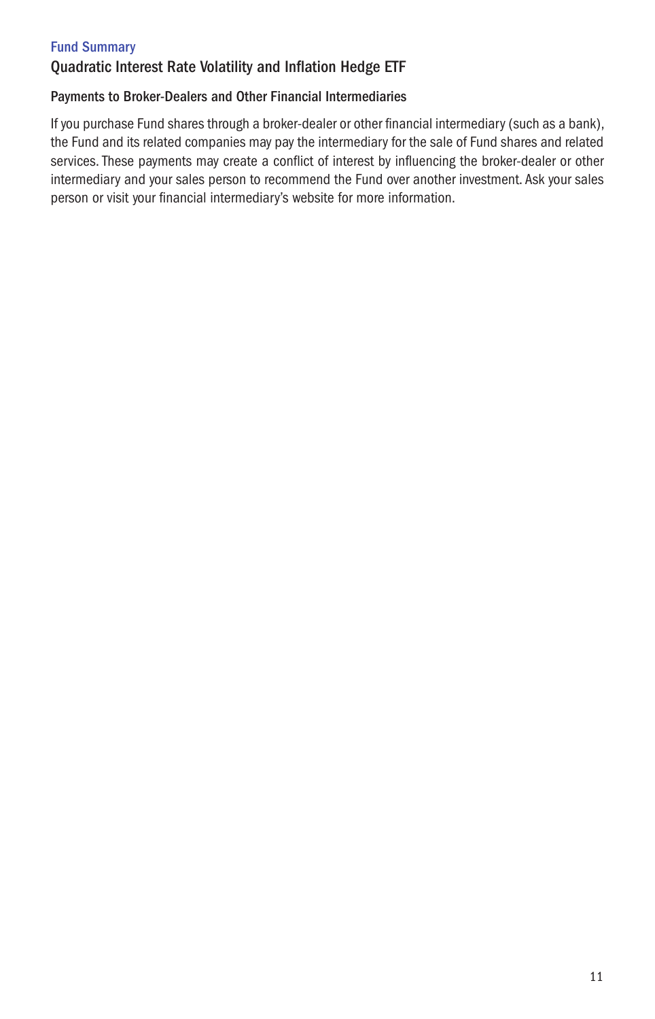# Quadratic Interest Rate Volatility and Inflation Hedge ETF

# Payments to Broker-Dealers and Other Financial Intermediaries

If you purchase Fund shares through a broker-dealer or other financial intermediary (such as a bank), the Fund and its related companies may pay the intermediary for the sale of Fund shares and related services. These payments may create a conflict of interest by influencing the broker-dealer or other intermediary and your sales person to recommend the Fund over another investment. Ask your sales person or visit your financial intermediary's website for more information.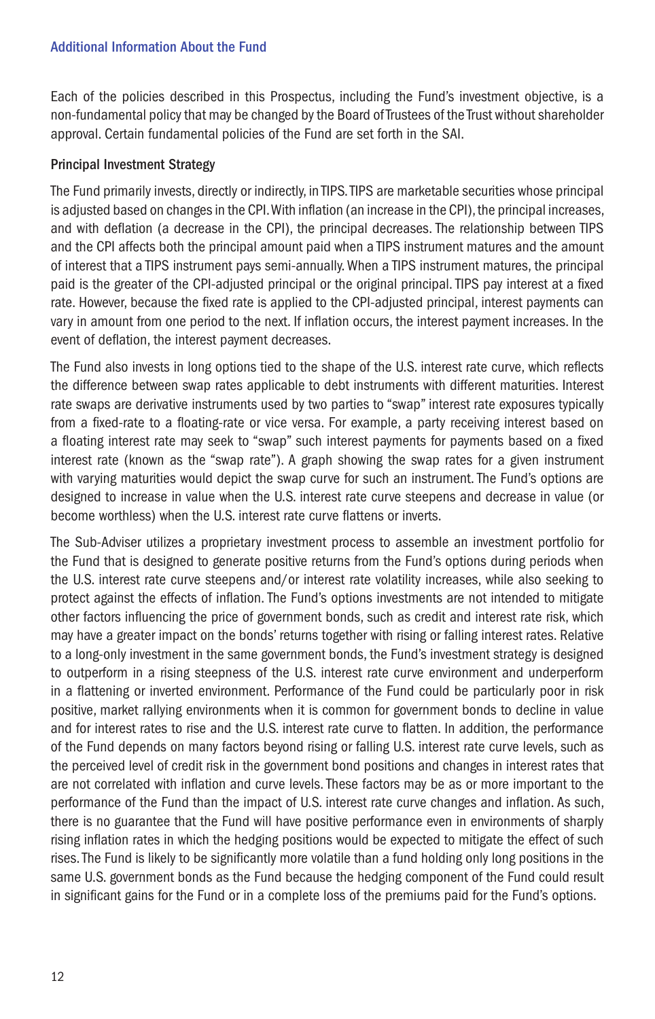Each of the policies described in this Prospectus, including the Fund's investment objective, is a non-fundamental policy that may be changed by the Board of Trustees of the Trust without shareholder approval. Certain fundamental policies of the Fund are set forth in the SAI.

### Principal Investment Strategy

The Fund primarily invests, directly or indirectly, in TIPS. TIPS are marketable securities whose principal is adjusted based on changes in the CPI. With inflation (an increase in the CPI), the principal increases, and with deflation (a decrease in the CPI), the principal decreases. The relationship between TIPS and the CPI affects both the principal amount paid when a TIPS instrument matures and the amount of interest that a TIPS instrument pays semi-annually. When a TIPS instrument matures, the principal paid is the greater of the CPI-adjusted principal or the original principal. TIPS pay interest at a fixed rate. However, because the fixed rate is applied to the CPI-adjusted principal, interest payments can vary in amount from one period to the next. If inflation occurs, the interest payment increases. In the event of deflation, the interest payment decreases.

The Fund also invests in long options tied to the shape of the U.S. interest rate curve, which reflects the difference between swap rates applicable to debt instruments with different maturities. Interest rate swaps are derivative instruments used by two parties to "swap" interest rate exposures typically from a fixed-rate to a floating-rate or vice versa. For example, a party receiving interest based on a floating interest rate may seek to "swap" such interest payments for payments based on a fixed interest rate (known as the "swap rate"). A graph showing the swap rates for a given instrument with varying maturities would depict the swap curve for such an instrument. The Fund's options are designed to increase in value when the U.S. interest rate curve steepens and decrease in value (or become worthless) when the U.S. interest rate curve flattens or inverts.

The Sub-Adviser utilizes a proprietary investment process to assemble an investment portfolio for the Fund that is designed to generate positive returns from the Fund's options during periods when the U.S. interest rate curve steepens and/or interest rate volatility increases, while also seeking to protect against the effects of inflation. The Fund's options investments are not intended to mitigate other factors influencing the price of government bonds, such as credit and interest rate risk, which may have a greater impact on the bonds' returns together with rising or falling interest rates. Relative to a long-only investment in the same government bonds, the Fund's investment strategy is designed to outperform in a rising steepness of the U.S. interest rate curve environment and underperform in a flattening or inverted environment. Performance of the Fund could be particularly poor in risk positive, market rallying environments when it is common for government bonds to decline in value and for interest rates to rise and the U.S. interest rate curve to flatten. In addition, the performance of the Fund depends on many factors beyond rising or falling U.S. interest rate curve levels, such as the perceived level of credit risk in the government bond positions and changes in interest rates that are not correlated with inflation and curve levels. These factors may be as or more important to the performance of the Fund than the impact of U.S. interest rate curve changes and inflation. As such, there is no guarantee that the Fund will have positive performance even in environments of sharply rising inflation rates in which the hedging positions would be expected to mitigate the effect of such rises. The Fund is likely to be significantly more volatile than a fund holding only long positions in the same U.S. government bonds as the Fund because the hedging component of the Fund could result in significant gains for the Fund or in a complete loss of the premiums paid for the Fund's options.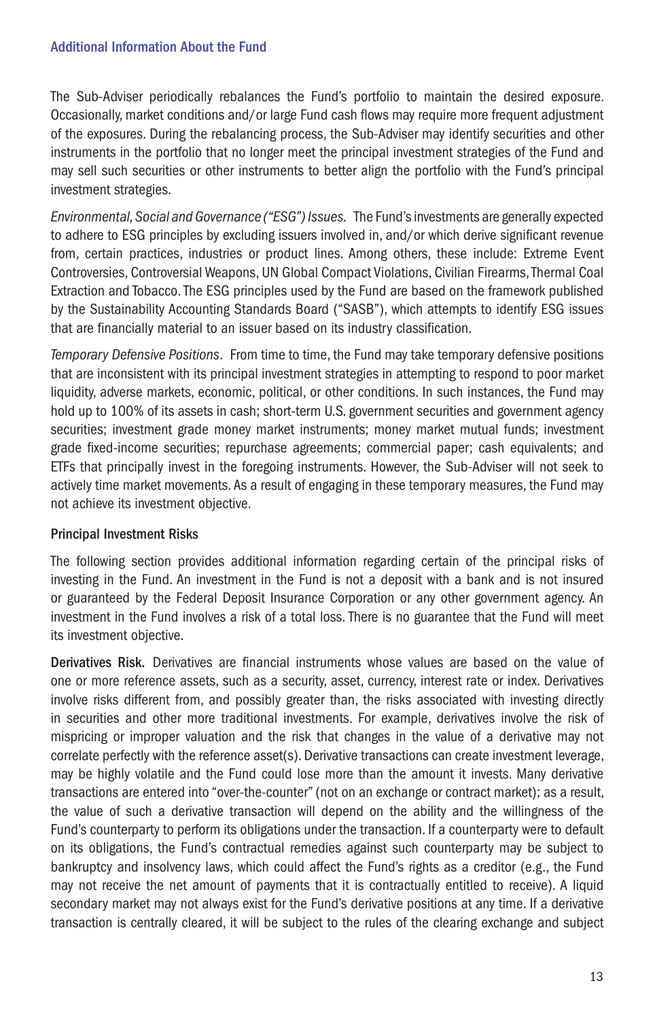The Sub-Adviser periodically rebalances the Fund's portfolio to maintain the desired exposure. Occasionally, market conditions and/or large Fund cash flows may require more frequent adjustment of the exposures. During the rebalancing process, the Sub-Adviser may identify securities and other instruments in the portfolio that no longer meet the principal investment strategies of the Fund and may sell such securities or other instruments to better align the portfolio with the Fund's principal investment strategies.

*Environmental, Social and Governance ("ESG") Issues.* The Fund's investments are generally expected to adhere to ESG principles by excluding issuers involved in, and/or which derive significant revenue from, certain practices, industries or product lines. Among others, these include: Extreme Event Controversies, Controversial Weapons, UN Global Compact Violations, Civilian Firearms, Thermal Coal Extraction and Tobacco. The ESG principles used by the Fund are based on the framework published by the Sustainability Accounting Standards Board ("SASB"), which attempts to identify ESG issues that are financially material to an issuer based on its industry classification.

*Temporary Defensive Positions*. From time to time, the Fund may take temporary defensive positions that are inconsistent with its principal investment strategies in attempting to respond to poor market liquidity, adverse markets, economic, political, or other conditions. In such instances, the Fund may hold up to 100% of its assets in cash; short-term U.S. government securities and government agency securities; investment grade money market instruments; money market mutual funds; investment grade fixed-income securities; repurchase agreements; commercial paper; cash equivalents; and ETFs that principally invest in the foregoing instruments. However, the Sub-Adviser will not seek to actively time market movements. As a result of engaging in these temporary measures, the Fund may not achieve its investment objective.

# Principal Investment Risks

The following section provides additional information regarding certain of the principal risks of investing in the Fund. An investment in the Fund is not a deposit with a bank and is not insured or guaranteed by the Federal Deposit Insurance Corporation or any other government agency. An investment in the Fund involves a risk of a total loss. There is no guarantee that the Fund will meet its investment objective.

Derivatives Risk. Derivatives are financial instruments whose values are based on the value of one or more reference assets, such as a security, asset, currency, interest rate or index. Derivatives involve risks different from, and possibly greater than, the risks associated with investing directly in securities and other more traditional investments. For example, derivatives involve the risk of mispricing or improper valuation and the risk that changes in the value of a derivative may not correlate perfectly with the reference asset(s). Derivative transactions can create investment leverage, may be highly volatile and the Fund could lose more than the amount it invests. Many derivative transactions are entered into "over-the-counter" (not on an exchange or contract market); as a result, the value of such a derivative transaction will depend on the ability and the willingness of the Fund's counterparty to perform its obligations under the transaction. If a counterparty were to default on its obligations, the Fund's contractual remedies against such counterparty may be subject to bankruptcy and insolvency laws, which could affect the Fund's rights as a creditor (e.g., the Fund may not receive the net amount of payments that it is contractually entitled to receive). A liquid secondary market may not always exist for the Fund's derivative positions at any time. If a derivative transaction is centrally cleared, it will be subject to the rules of the clearing exchange and subject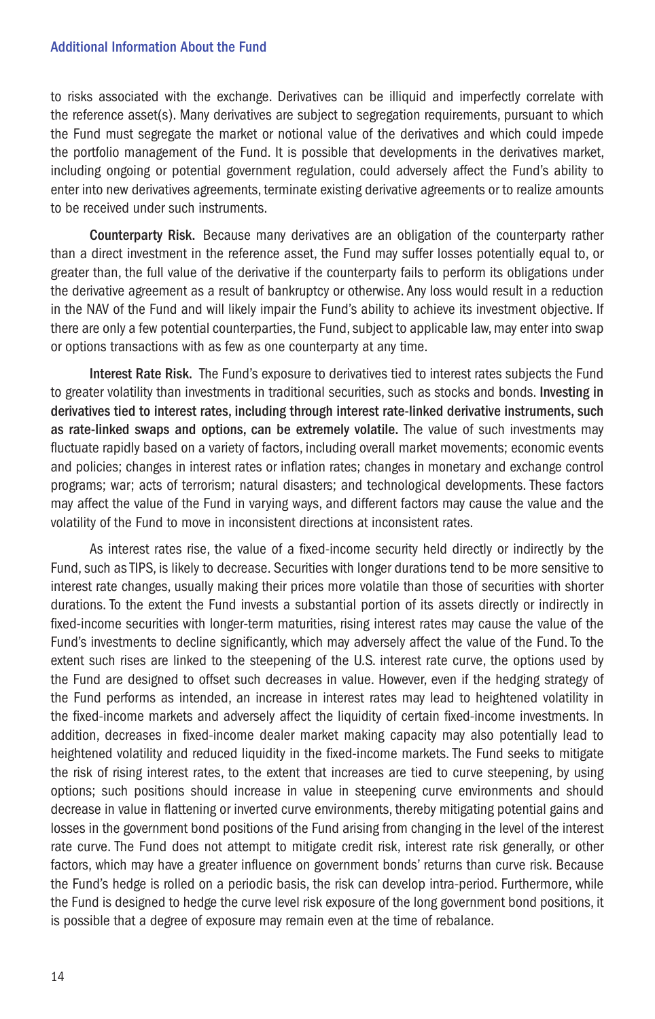to risks associated with the exchange. Derivatives can be illiquid and imperfectly correlate with the reference asset(s). Many derivatives are subject to segregation requirements, pursuant to which the Fund must segregate the market or notional value of the derivatives and which could impede the portfolio management of the Fund. It is possible that developments in the derivatives market, including ongoing or potential government regulation, could adversely affect the Fund's ability to enter into new derivatives agreements, terminate existing derivative agreements or to realize amounts to be received under such instruments.

Counterparty Risk. Because many derivatives are an obligation of the counterparty rather than a direct investment in the reference asset, the Fund may suffer losses potentially equal to, or greater than, the full value of the derivative if the counterparty fails to perform its obligations under the derivative agreement as a result of bankruptcy or otherwise. Any loss would result in a reduction in the NAV of the Fund and will likely impair the Fund's ability to achieve its investment objective. If there are only a few potential counterparties, the Fund, subject to applicable law, may enter into swap or options transactions with as few as one counterparty at any time.

Interest Rate Risk. The Fund's exposure to derivatives tied to interest rates subjects the Fund to greater volatility than investments in traditional securities, such as stocks and bonds. Investing in derivatives tied to interest rates, including through interest rate-linked derivative instruments, such as rate-linked swaps and options, can be extremely volatile. The value of such investments may fluctuate rapidly based on a variety of factors, including overall market movements; economic events and policies; changes in interest rates or inflation rates; changes in monetary and exchange control programs; war; acts of terrorism; natural disasters; and technological developments. These factors may affect the value of the Fund in varying ways, and different factors may cause the value and the volatility of the Fund to move in inconsistent directions at inconsistent rates.

As interest rates rise, the value of a fixed-income security held directly or indirectly by the Fund, such as TIPS, is likely to decrease. Securities with longer durations tend to be more sensitive to interest rate changes, usually making their prices more volatile than those of securities with shorter durations. To the extent the Fund invests a substantial portion of its assets directly or indirectly in fixed-income securities with longer-term maturities, rising interest rates may cause the value of the Fund's investments to decline significantly, which may adversely affect the value of the Fund. To the extent such rises are linked to the steepening of the U.S. interest rate curve, the options used by the Fund are designed to offset such decreases in value. However, even if the hedging strategy of the Fund performs as intended, an increase in interest rates may lead to heightened volatility in the fixed-income markets and adversely affect the liquidity of certain fixed-income investments. In addition, decreases in fixed-income dealer market making capacity may also potentially lead to heightened volatility and reduced liquidity in the fixed-income markets. The Fund seeks to mitigate the risk of rising interest rates, to the extent that increases are tied to curve steepening, by using options; such positions should increase in value in steepening curve environments and should decrease in value in flattening or inverted curve environments, thereby mitigating potential gains and losses in the government bond positions of the Fund arising from changing in the level of the interest rate curve. The Fund does not attempt to mitigate credit risk, interest rate risk generally, or other factors, which may have a greater influence on government bonds' returns than curve risk. Because the Fund's hedge is rolled on a periodic basis, the risk can develop intra-period. Furthermore, while the Fund is designed to hedge the curve level risk exposure of the long government bond positions, it is possible that a degree of exposure may remain even at the time of rebalance.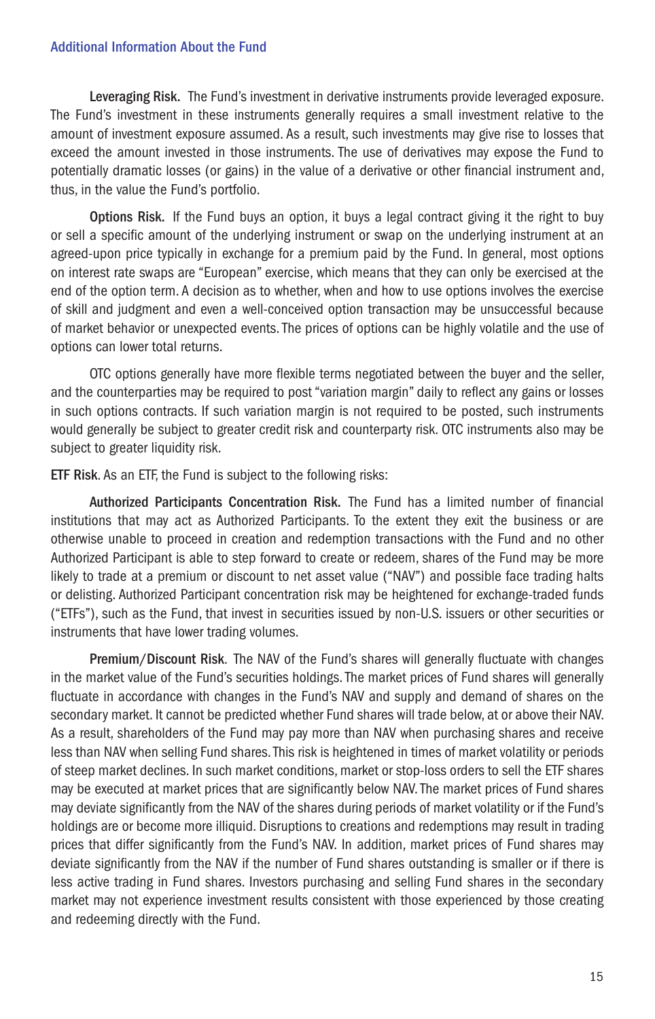Leveraging Risk. The Fund's investment in derivative instruments provide leveraged exposure. The Fund's investment in these instruments generally requires a small investment relative to the amount of investment exposure assumed. As a result, such investments may give rise to losses that exceed the amount invested in those instruments. The use of derivatives may expose the Fund to potentially dramatic losses (or gains) in the value of a derivative or other financial instrument and, thus, in the value the Fund's portfolio.

Options Risk. If the Fund buys an option, it buys a legal contract giving it the right to buy or sell a specific amount of the underlying instrument or swap on the underlying instrument at an agreed-upon price typically in exchange for a premium paid by the Fund. In general, most options on interest rate swaps are "European" exercise, which means that they can only be exercised at the end of the option term. A decision as to whether, when and how to use options involves the exercise of skill and judgment and even a well-conceived option transaction may be unsuccessful because of market behavior or unexpected events. The prices of options can be highly volatile and the use of options can lower total returns.

OTC options generally have more flexible terms negotiated between the buyer and the seller, and the counterparties may be required to post "variation margin" daily to reflect any gains or losses in such options contracts. If such variation margin is not required to be posted, such instruments would generally be subject to greater credit risk and counterparty risk. OTC instruments also may be subject to greater liquidity risk.

ETF Risk. As an ETF, the Fund is subject to the following risks:

Authorized Participants Concentration Risk. The Fund has a limited number of financial institutions that may act as Authorized Participants. To the extent they exit the business or are otherwise unable to proceed in creation and redemption transactions with the Fund and no other Authorized Participant is able to step forward to create or redeem, shares of the Fund may be more likely to trade at a premium or discount to net asset value ("NAV") and possible face trading halts or delisting. Authorized Participant concentration risk may be heightened for exchange-traded funds ("ETFs"), such as the Fund, that invest in securities issued by non-U.S. issuers or other securities or instruments that have lower trading volumes.

Premium/Discount Risk. The NAV of the Fund's shares will generally fluctuate with changes in the market value of the Fund's securities holdings. The market prices of Fund shares will generally fluctuate in accordance with changes in the Fund's NAV and supply and demand of shares on the secondary market. It cannot be predicted whether Fund shares will trade below, at or above their NAV. As a result, shareholders of the Fund may pay more than NAV when purchasing shares and receive less than NAV when selling Fund shares. This risk is heightened in times of market volatility or periods of steep market declines. In such market conditions, market or stop-loss orders to sell the ETF shares may be executed at market prices that are significantly below NAV. The market prices of Fund shares may deviate significantly from the NAV of the shares during periods of market volatility or if the Fund's holdings are or become more illiquid. Disruptions to creations and redemptions may result in trading prices that differ significantly from the Fund's NAV. In addition, market prices of Fund shares may deviate significantly from the NAV if the number of Fund shares outstanding is smaller or if there is less active trading in Fund shares. Investors purchasing and selling Fund shares in the secondary market may not experience investment results consistent with those experienced by those creating and redeeming directly with the Fund.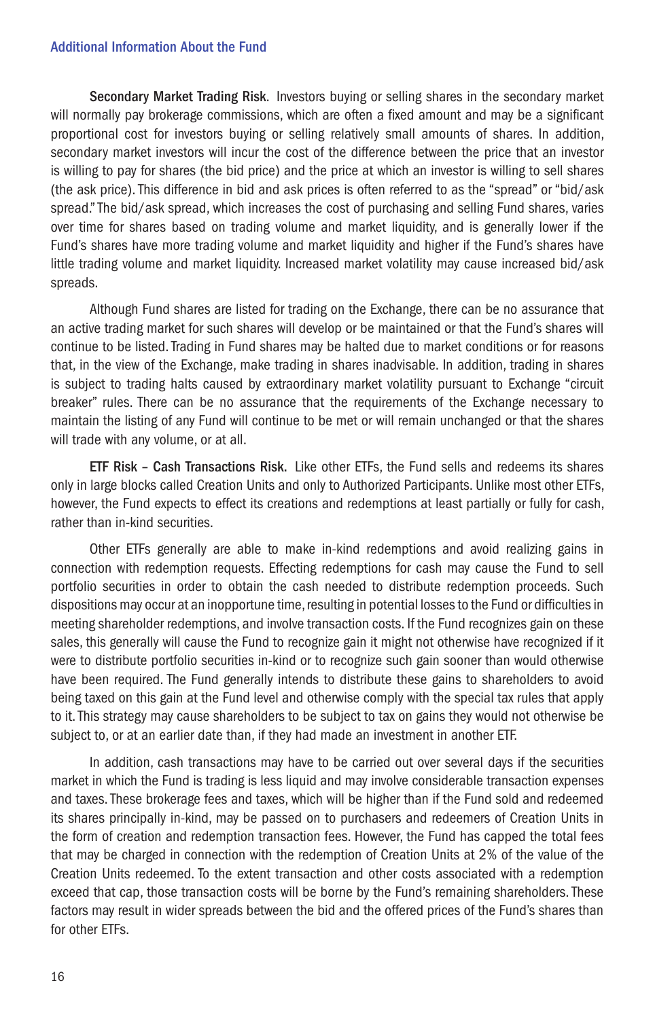Secondary Market Trading Risk. Investors buying or selling shares in the secondary market will normally pay brokerage commissions, which are often a fixed amount and may be a significant proportional cost for investors buying or selling relatively small amounts of shares. In addition, secondary market investors will incur the cost of the difference between the price that an investor is willing to pay for shares (the bid price) and the price at which an investor is willing to sell shares (the ask price). This difference in bid and ask prices is often referred to as the "spread" or "bid/ask spread." The bid/ask spread, which increases the cost of purchasing and selling Fund shares, varies over time for shares based on trading volume and market liquidity, and is generally lower if the Fund's shares have more trading volume and market liquidity and higher if the Fund's shares have little trading volume and market liquidity. Increased market volatility may cause increased bid/ask spreads.

Although Fund shares are listed for trading on the Exchange, there can be no assurance that an active trading market for such shares will develop or be maintained or that the Fund's shares will continue to be listed. Trading in Fund shares may be halted due to market conditions or for reasons that, in the view of the Exchange, make trading in shares inadvisable. In addition, trading in shares is subject to trading halts caused by extraordinary market volatility pursuant to Exchange "circuit breaker" rules. There can be no assurance that the requirements of the Exchange necessary to maintain the listing of any Fund will continue to be met or will remain unchanged or that the shares will trade with any volume, or at all.

ETF Risk – Cash Transactions Risk. Like other ETFs, the Fund sells and redeems its shares only in large blocks called Creation Units and only to Authorized Participants. Unlike most other ETFs, however, the Fund expects to effect its creations and redemptions at least partially or fully for cash, rather than in-kind securities.

Other ETFs generally are able to make in-kind redemptions and avoid realizing gains in connection with redemption requests. Effecting redemptions for cash may cause the Fund to sell portfolio securities in order to obtain the cash needed to distribute redemption proceeds. Such dispositions may occur at an inopportune time, resulting in potential losses to the Fund or difficulties in meeting shareholder redemptions, and involve transaction costs. If the Fund recognizes gain on these sales, this generally will cause the Fund to recognize gain it might not otherwise have recognized if it were to distribute portfolio securities in-kind or to recognize such gain sooner than would otherwise have been required. The Fund generally intends to distribute these gains to shareholders to avoid being taxed on this gain at the Fund level and otherwise comply with the special tax rules that apply to it. This strategy may cause shareholders to be subject to tax on gains they would not otherwise be subject to, or at an earlier date than, if they had made an investment in another ETF.

In addition, cash transactions may have to be carried out over several days if the securities market in which the Fund is trading is less liquid and may involve considerable transaction expenses and taxes. These brokerage fees and taxes, which will be higher than if the Fund sold and redeemed its shares principally in-kind, may be passed on to purchasers and redeemers of Creation Units in the form of creation and redemption transaction fees. However, the Fund has capped the total fees that may be charged in connection with the redemption of Creation Units at 2% of the value of the Creation Units redeemed. To the extent transaction and other costs associated with a redemption exceed that cap, those transaction costs will be borne by the Fund's remaining shareholders. These factors may result in wider spreads between the bid and the offered prices of the Fund's shares than for other ETFs.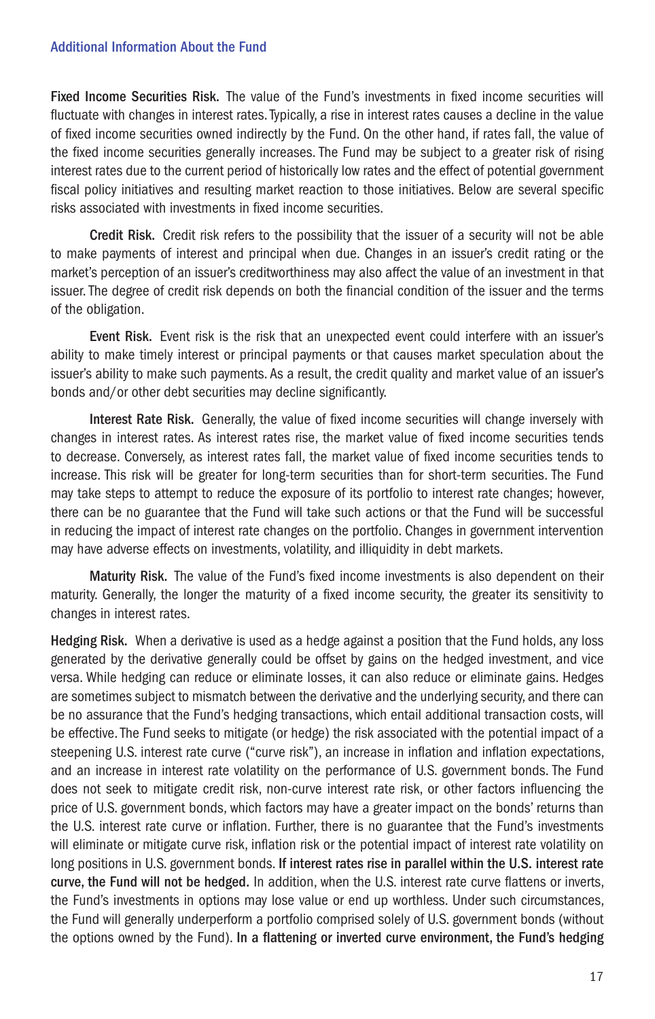Fixed Income Securities Risk. The value of the Fund's investments in fixed income securities will fluctuate with changes in interest rates. Typically, a rise in interest rates causes a decline in the value of fixed income securities owned indirectly by the Fund. On the other hand, if rates fall, the value of the fixed income securities generally increases. The Fund may be subject to a greater risk of rising interest rates due to the current period of historically low rates and the effect of potential government fiscal policy initiatives and resulting market reaction to those initiatives. Below are several specific risks associated with investments in fixed income securities.

Credit Risk. Credit risk refers to the possibility that the issuer of a security will not be able to make payments of interest and principal when due. Changes in an issuer's credit rating or the market's perception of an issuer's creditworthiness may also affect the value of an investment in that issuer. The degree of credit risk depends on both the financial condition of the issuer and the terms of the obligation.

Event Risk. Event risk is the risk that an unexpected event could interfere with an issuer's ability to make timely interest or principal payments or that causes market speculation about the issuer's ability to make such payments. As a result, the credit quality and market value of an issuer's bonds and/or other debt securities may decline significantly.

Interest Rate Risk. Generally, the value of fixed income securities will change inversely with changes in interest rates. As interest rates rise, the market value of fixed income securities tends to decrease. Conversely, as interest rates fall, the market value of fixed income securities tends to increase. This risk will be greater for long-term securities than for short-term securities. The Fund may take steps to attempt to reduce the exposure of its portfolio to interest rate changes; however, there can be no guarantee that the Fund will take such actions or that the Fund will be successful in reducing the impact of interest rate changes on the portfolio. Changes in government intervention may have adverse effects on investments, volatility, and illiquidity in debt markets.

Maturity Risk. The value of the Fund's fixed income investments is also dependent on their maturity. Generally, the longer the maturity of a fixed income security, the greater its sensitivity to changes in interest rates.

Hedging Risk. When a derivative is used as a hedge against a position that the Fund holds, any loss generated by the derivative generally could be offset by gains on the hedged investment, and vice versa. While hedging can reduce or eliminate losses, it can also reduce or eliminate gains. Hedges are sometimes subject to mismatch between the derivative and the underlying security, and there can be no assurance that the Fund's hedging transactions, which entail additional transaction costs, will be effective. The Fund seeks to mitigate (or hedge) the risk associated with the potential impact of a steepening U.S. interest rate curve ("curve risk"), an increase in inflation and inflation expectations, and an increase in interest rate volatility on the performance of U.S. government bonds. The Fund does not seek to mitigate credit risk, non-curve interest rate risk, or other factors influencing the price of U.S. government bonds, which factors may have a greater impact on the bonds' returns than the U.S. interest rate curve or inflation. Further, there is no guarantee that the Fund's investments will eliminate or mitigate curve risk, inflation risk or the potential impact of interest rate volatility on long positions in U.S. government bonds. If interest rates rise in parallel within the U.S. interest rate curve, the Fund will not be hedged. In addition, when the U.S. interest rate curve flattens or inverts, the Fund's investments in options may lose value or end up worthless. Under such circumstances, the Fund will generally underperform a portfolio comprised solely of U.S. government bonds (without the options owned by the Fund). In a flattening or inverted curve environment, the Fund's hedging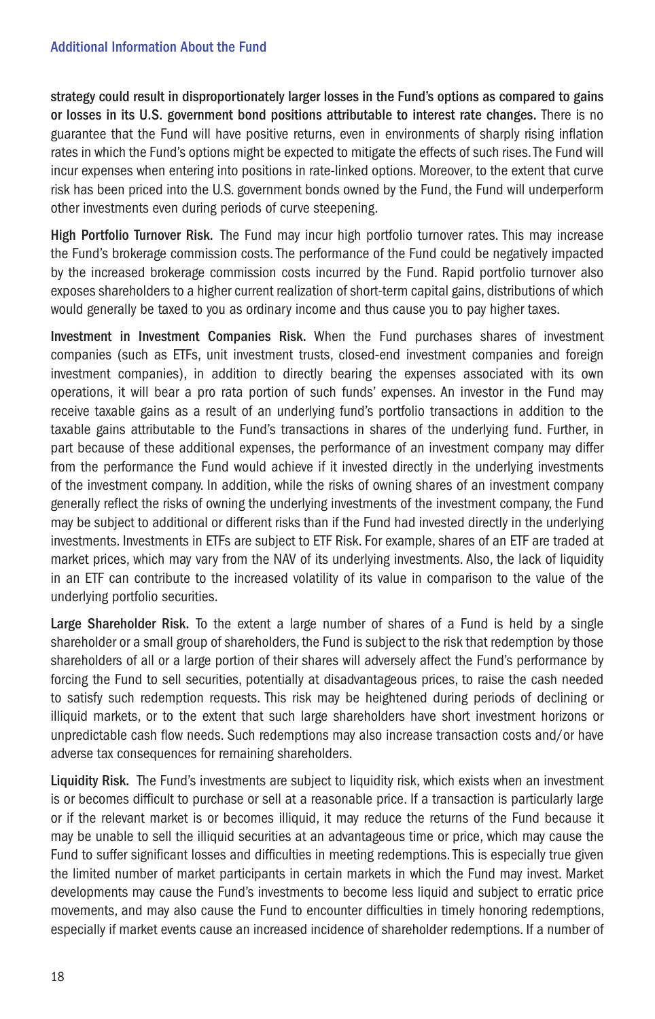strategy could result in disproportionately larger losses in the Fund's options as compared to gains or losses in its U.S. government bond positions attributable to interest rate changes. There is no guarantee that the Fund will have positive returns, even in environments of sharply rising inflation rates in which the Fund's options might be expected to mitigate the effects of such rises. The Fund will incur expenses when entering into positions in rate-linked options. Moreover, to the extent that curve risk has been priced into the U.S. government bonds owned by the Fund, the Fund will underperform other investments even during periods of curve steepening.

High Portfolio Turnover Risk. The Fund may incur high portfolio turnover rates. This may increase the Fund's brokerage commission costs. The performance of the Fund could be negatively impacted by the increased brokerage commission costs incurred by the Fund. Rapid portfolio turnover also exposes shareholders to a higher current realization of short-term capital gains, distributions of which would generally be taxed to you as ordinary income and thus cause you to pay higher taxes.

Investment in Investment Companies Risk. When the Fund purchases shares of investment companies (such as ETFs, unit investment trusts, closed-end investment companies and foreign investment companies), in addition to directly bearing the expenses associated with its own operations, it will bear a pro rata portion of such funds' expenses. An investor in the Fund may receive taxable gains as a result of an underlying fund's portfolio transactions in addition to the taxable gains attributable to the Fund's transactions in shares of the underlying fund. Further, in part because of these additional expenses, the performance of an investment company may differ from the performance the Fund would achieve if it invested directly in the underlying investments of the investment company. In addition, while the risks of owning shares of an investment company generally reflect the risks of owning the underlying investments of the investment company, the Fund may be subject to additional or different risks than if the Fund had invested directly in the underlying investments. Investments in ETFs are subject to ETF Risk. For example, shares of an ETF are traded at market prices, which may vary from the NAV of its underlying investments. Also, the lack of liquidity in an ETF can contribute to the increased volatility of its value in comparison to the value of the underlying portfolio securities.

Large Shareholder Risk. To the extent a large number of shares of a Fund is held by a single shareholder or a small group of shareholders, the Fund is subject to the risk that redemption by those shareholders of all or a large portion of their shares will adversely affect the Fund's performance by forcing the Fund to sell securities, potentially at disadvantageous prices, to raise the cash needed to satisfy such redemption requests. This risk may be heightened during periods of declining or illiquid markets, or to the extent that such large shareholders have short investment horizons or unpredictable cash flow needs. Such redemptions may also increase transaction costs and/or have adverse tax consequences for remaining shareholders.

Liquidity Risk. The Fund's investments are subject to liquidity risk, which exists when an investment is or becomes difficult to purchase or sell at a reasonable price. If a transaction is particularly large or if the relevant market is or becomes illiquid, it may reduce the returns of the Fund because it may be unable to sell the illiquid securities at an advantageous time or price, which may cause the Fund to suffer significant losses and difficulties in meeting redemptions. This is especially true given the limited number of market participants in certain markets in which the Fund may invest. Market developments may cause the Fund's investments to become less liquid and subject to erratic price movements, and may also cause the Fund to encounter difficulties in timely honoring redemptions, especially if market events cause an increased incidence of shareholder redemptions. If a number of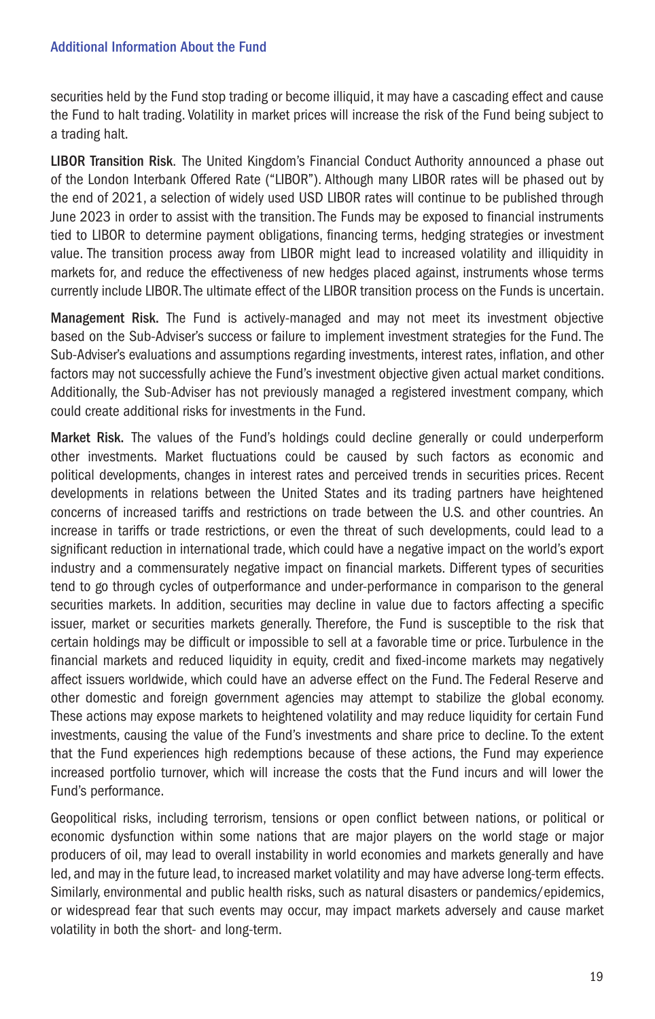securities held by the Fund stop trading or become illiquid, it may have a cascading effect and cause the Fund to halt trading. Volatility in market prices will increase the risk of the Fund being subject to a trading halt.

LIBOR Transition Risk. The United Kingdom's Financial Conduct Authority announced a phase out of the London Interbank Offered Rate ("LIBOR"). Although many LIBOR rates will be phased out by the end of 2021, a selection of widely used USD LIBOR rates will continue to be published through June 2023 in order to assist with the transition. The Funds may be exposed to financial instruments tied to LIBOR to determine payment obligations, financing terms, hedging strategies or investment value. The transition process away from LIBOR might lead to increased volatility and illiquidity in markets for, and reduce the effectiveness of new hedges placed against, instruments whose terms currently include LIBOR. The ultimate effect of the LIBOR transition process on the Funds is uncertain.

Management Risk. The Fund is actively-managed and may not meet its investment objective based on the Sub-Adviser's success or failure to implement investment strategies for the Fund. The Sub-Adviser's evaluations and assumptions regarding investments, interest rates, inflation, and other factors may not successfully achieve the Fund's investment objective given actual market conditions. Additionally, the Sub-Adviser has not previously managed a registered investment company, which could create additional risks for investments in the Fund.

Market Risk. The values of the Fund's holdings could decline generally or could underperform other investments. Market fluctuations could be caused by such factors as economic and political developments, changes in interest rates and perceived trends in securities prices. Recent developments in relations between the United States and its trading partners have heightened concerns of increased tariffs and restrictions on trade between the U.S. and other countries. An increase in tariffs or trade restrictions, or even the threat of such developments, could lead to a significant reduction in international trade, which could have a negative impact on the world's export industry and a commensurately negative impact on financial markets. Different types of securities tend to go through cycles of outperformance and under-performance in comparison to the general securities markets. In addition, securities may decline in value due to factors affecting a specific issuer, market or securities markets generally. Therefore, the Fund is susceptible to the risk that certain holdings may be difficult or impossible to sell at a favorable time or price. Turbulence in the financial markets and reduced liquidity in equity, credit and fixed-income markets may negatively affect issuers worldwide, which could have an adverse effect on the Fund. The Federal Reserve and other domestic and foreign government agencies may attempt to stabilize the global economy. These actions may expose markets to heightened volatility and may reduce liquidity for certain Fund investments, causing the value of the Fund's investments and share price to decline. To the extent that the Fund experiences high redemptions because of these actions, the Fund may experience increased portfolio turnover, which will increase the costs that the Fund incurs and will lower the Fund's performance.

Geopolitical risks, including terrorism, tensions or open conflict between nations, or political or economic dysfunction within some nations that are major players on the world stage or major producers of oil, may lead to overall instability in world economies and markets generally and have led, and may in the future lead, to increased market volatility and may have adverse long-term effects. Similarly, environmental and public health risks, such as natural disasters or pandemics/epidemics, or widespread fear that such events may occur, may impact markets adversely and cause market volatility in both the short- and long-term.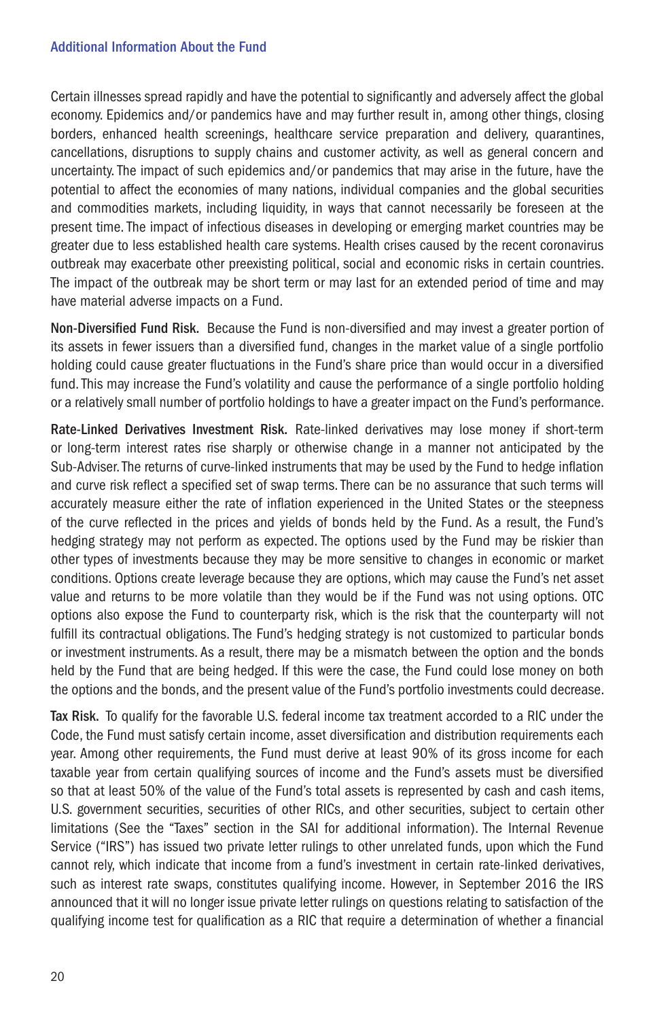Certain illnesses spread rapidly and have the potential to significantly and adversely affect the global economy. Epidemics and/or pandemics have and may further result in, among other things, closing borders, enhanced health screenings, healthcare service preparation and delivery, quarantines, cancellations, disruptions to supply chains and customer activity, as well as general concern and uncertainty. The impact of such epidemics and/or pandemics that may arise in the future, have the potential to affect the economies of many nations, individual companies and the global securities and commodities markets, including liquidity, in ways that cannot necessarily be foreseen at the present time. The impact of infectious diseases in developing or emerging market countries may be greater due to less established health care systems. Health crises caused by the recent coronavirus outbreak may exacerbate other preexisting political, social and economic risks in certain countries. The impact of the outbreak may be short term or may last for an extended period of time and may have material adverse impacts on a Fund.

Non-Diversified Fund Risk. Because the Fund is non-diversified and may invest a greater portion of its assets in fewer issuers than a diversified fund, changes in the market value of a single portfolio holding could cause greater fluctuations in the Fund's share price than would occur in a diversified fund. This may increase the Fund's volatility and cause the performance of a single portfolio holding or a relatively small number of portfolio holdings to have a greater impact on the Fund's performance.

Rate-Linked Derivatives Investment Risk. Rate-linked derivatives may lose money if short-term or long-term interest rates rise sharply or otherwise change in a manner not anticipated by the Sub-Adviser. The returns of curve-linked instruments that may be used by the Fund to hedge inflation and curve risk reflect a specified set of swap terms. There can be no assurance that such terms will accurately measure either the rate of inflation experienced in the United States or the steepness of the curve reflected in the prices and yields of bonds held by the Fund. As a result, the Fund's hedging strategy may not perform as expected. The options used by the Fund may be riskier than other types of investments because they may be more sensitive to changes in economic or market conditions. Options create leverage because they are options, which may cause the Fund's net asset value and returns to be more volatile than they would be if the Fund was not using options. OTC options also expose the Fund to counterparty risk, which is the risk that the counterparty will not fulfill its contractual obligations. The Fund's hedging strategy is not customized to particular bonds or investment instruments. As a result, there may be a mismatch between the option and the bonds held by the Fund that are being hedged. If this were the case, the Fund could lose money on both the options and the bonds, and the present value of the Fund's portfolio investments could decrease.

Tax Risk. To qualify for the favorable U.S. federal income tax treatment accorded to a RIC under the Code, the Fund must satisfy certain income, asset diversification and distribution requirements each year. Among other requirements, the Fund must derive at least 90% of its gross income for each taxable year from certain qualifying sources of income and the Fund's assets must be diversified so that at least 50% of the value of the Fund's total assets is represented by cash and cash items, U.S. government securities, securities of other RICs, and other securities, subject to certain other limitations (See the "Taxes" section in the SAI for additional information). The Internal Revenue Service ("IRS") has issued two private letter rulings to other unrelated funds, upon which the Fund cannot rely, which indicate that income from a fund's investment in certain rate-linked derivatives, such as interest rate swaps, constitutes qualifying income. However, in September 2016 the IRS announced that it will no longer issue private letter rulings on questions relating to satisfaction of the qualifying income test for qualification as a RIC that require a determination of whether a financial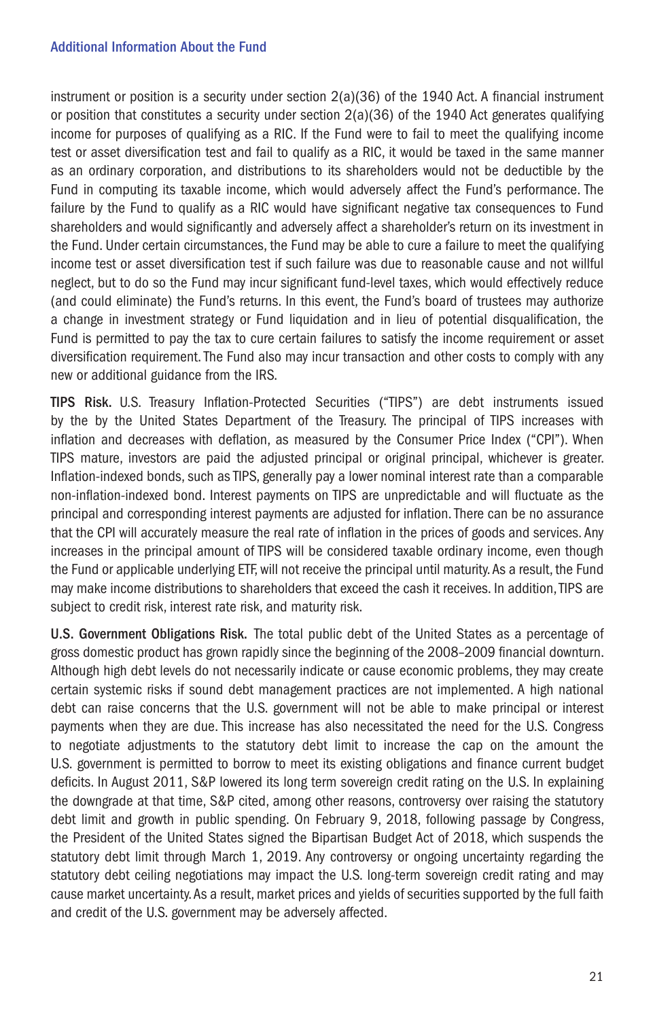instrument or position is a security under section 2(a)(36) of the 1940 Act. A financial instrument or position that constitutes a security under section  $2(a)(36)$  of the 1940 Act generates qualifying income for purposes of qualifying as a RIC. If the Fund were to fail to meet the qualifying income test or asset diversification test and fail to qualify as a RIC, it would be taxed in the same manner as an ordinary corporation, and distributions to its shareholders would not be deductible by the Fund in computing its taxable income, which would adversely affect the Fund's performance. The failure by the Fund to qualify as a RIC would have significant negative tax consequences to Fund shareholders and would significantly and adversely affect a shareholder's return on its investment in the Fund. Under certain circumstances, the Fund may be able to cure a failure to meet the qualifying income test or asset diversification test if such failure was due to reasonable cause and not willful neglect, but to do so the Fund may incur significant fund-level taxes, which would effectively reduce (and could eliminate) the Fund's returns. In this event, the Fund's board of trustees may authorize a change in investment strategy or Fund liquidation and in lieu of potential disqualification, the Fund is permitted to pay the tax to cure certain failures to satisfy the income requirement or asset diversification requirement. The Fund also may incur transaction and other costs to comply with any new or additional guidance from the IRS.

TIPS Risk. U.S. Treasury Inflation-Protected Securities ("TIPS") are debt instruments issued by the by the United States Department of the Treasury. The principal of TIPS increases with inflation and decreases with deflation, as measured by the Consumer Price Index ("CPI"). When TIPS mature, investors are paid the adjusted principal or original principal, whichever is greater. Inflation-indexed bonds, such as TIPS, generally pay a lower nominal interest rate than a comparable non-inflation-indexed bond. Interest payments on TIPS are unpredictable and will fluctuate as the principal and corresponding interest payments are adjusted for inflation. There can be no assurance that the CPI will accurately measure the real rate of inflation in the prices of goods and services. Any increases in the principal amount of TIPS will be considered taxable ordinary income, even though the Fund or applicable underlying ETF, will not receive the principal until maturity. As a result, the Fund may make income distributions to shareholders that exceed the cash it receives. In addition, TIPS are subject to credit risk, interest rate risk, and maturity risk.

U.S. Government Obligations Risk. The total public debt of the United States as a percentage of gross domestic product has grown rapidly since the beginning of the 2008–2009 financial downturn. Although high debt levels do not necessarily indicate or cause economic problems, they may create certain systemic risks if sound debt management practices are not implemented. A high national debt can raise concerns that the U.S. government will not be able to make principal or interest payments when they are due. This increase has also necessitated the need for the U.S. Congress to negotiate adjustments to the statutory debt limit to increase the cap on the amount the U.S. government is permitted to borrow to meet its existing obligations and finance current budget deficits. In August 2011, S&P lowered its long term sovereign credit rating on the U.S. In explaining the downgrade at that time, S&P cited, among other reasons, controversy over raising the statutory debt limit and growth in public spending. On February 9, 2018, following passage by Congress, the President of the United States signed the Bipartisan Budget Act of 2018, which suspends the statutory debt limit through March 1, 2019. Any controversy or ongoing uncertainty regarding the statutory debt ceiling negotiations may impact the U.S. long-term sovereign credit rating and may cause market uncertainty. As a result, market prices and yields of securities supported by the full faith and credit of the U.S. government may be adversely affected.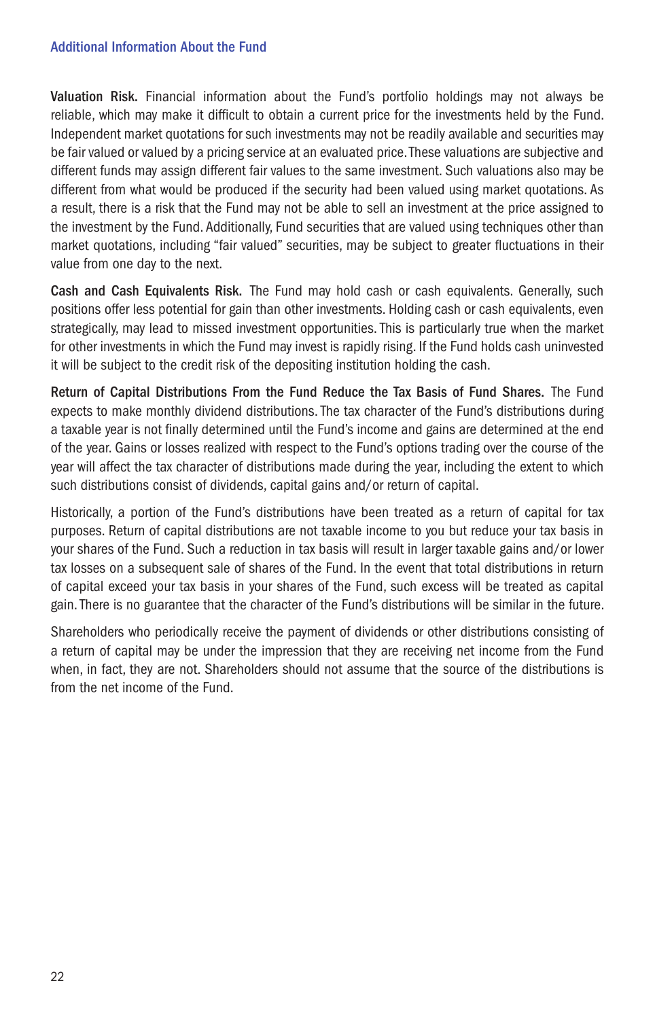Valuation Risk. Financial information about the Fund's portfolio holdings may not always be reliable, which may make it difficult to obtain a current price for the investments held by the Fund. Independent market quotations for such investments may not be readily available and securities may be fair valued or valued by a pricing service at an evaluated price. These valuations are subjective and different funds may assign different fair values to the same investment. Such valuations also may be different from what would be produced if the security had been valued using market quotations. As a result, there is a risk that the Fund may not be able to sell an investment at the price assigned to the investment by the Fund. Additionally, Fund securities that are valued using techniques other than market quotations, including "fair valued" securities, may be subject to greater fluctuations in their value from one day to the next.

Cash and Cash Equivalents Risk. The Fund may hold cash or cash equivalents. Generally, such positions offer less potential for gain than other investments. Holding cash or cash equivalents, even strategically, may lead to missed investment opportunities. This is particularly true when the market for other investments in which the Fund may invest is rapidly rising. If the Fund holds cash uninvested it will be subject to the credit risk of the depositing institution holding the cash.

Return of Capital Distributions From the Fund Reduce the Tax Basis of Fund Shares. The Fund expects to make monthly dividend distributions. The tax character of the Fund's distributions during a taxable year is not finally determined until the Fund's income and gains are determined at the end of the year. Gains or losses realized with respect to the Fund's options trading over the course of the year will affect the tax character of distributions made during the year, including the extent to which such distributions consist of dividends, capital gains and/or return of capital.

Historically, a portion of the Fund's distributions have been treated as a return of capital for tax purposes. Return of capital distributions are not taxable income to you but reduce your tax basis in your shares of the Fund. Such a reduction in tax basis will result in larger taxable gains and/or lower tax losses on a subsequent sale of shares of the Fund. In the event that total distributions in return of capital exceed your tax basis in your shares of the Fund, such excess will be treated as capital gain. There is no guarantee that the character of the Fund's distributions will be similar in the future.

Shareholders who periodically receive the payment of dividends or other distributions consisting of a return of capital may be under the impression that they are receiving net income from the Fund when, in fact, they are not. Shareholders should not assume that the source of the distributions is from the net income of the Fund.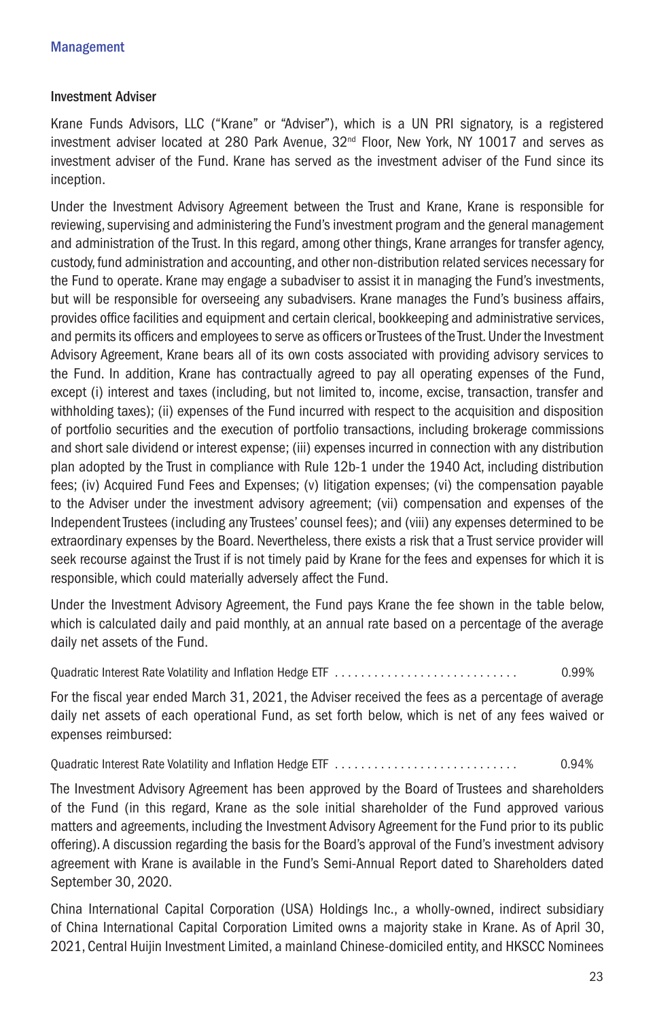#### Investment Adviser

Krane Funds Advisors, LLC ("Krane" or "Adviser"), which is a UN PRI signatory, is a registered investment adviser located at 280 Park Avenue,  $32<sup>nd</sup>$  Floor, New York, NY 10017 and serves as investment adviser of the Fund. Krane has served as the investment adviser of the Fund since its inception.

Under the Investment Advisory Agreement between the Trust and Krane, Krane is responsible for reviewing, supervising and administering the Fund's investment program and the general management and administration of the Trust. In this regard, among other things, Krane arranges for transfer agency, custody, fund administration and accounting, and other non-distribution related services necessary for the Fund to operate. Krane may engage a subadviser to assist it in managing the Fund's investments, but will be responsible for overseeing any subadvisers. Krane manages the Fund's business affairs, provides office facilities and equipment and certain clerical, bookkeeping and administrative services, and permits its officers and employees to serve as officers or Trustees of the Trust. Under the Investment Advisory Agreement, Krane bears all of its own costs associated with providing advisory services to the Fund. In addition, Krane has contractually agreed to pay all operating expenses of the Fund, except (i) interest and taxes (including, but not limited to, income, excise, transaction, transfer and withholding taxes); (ii) expenses of the Fund incurred with respect to the acquisition and disposition of portfolio securities and the execution of portfolio transactions, including brokerage commissions and short sale dividend or interest expense; (iii) expenses incurred in connection with any distribution plan adopted by the Trust in compliance with Rule 12b-1 under the 1940 Act, including distribution fees; (iv) Acquired Fund Fees and Expenses; (v) litigation expenses; (vi) the compensation payable to the Adviser under the investment advisory agreement; (vii) compensation and expenses of the Independent Trustees (including any Trustees' counsel fees); and (viii) any expenses determined to be extraordinary expenses by the Board. Nevertheless, there exists a risk that a Trust service provider will seek recourse against the Trust if is not timely paid by Krane for the fees and expenses for which it is responsible, which could materially adversely affect the Fund.

Under the Investment Advisory Agreement, the Fund pays Krane the fee shown in the table below, which is calculated daily and paid monthly, at an annual rate based on a percentage of the average daily net assets of the Fund.

Quadratic Interest Rate Volatility and Inflation Hedge ETF . . . . . . . . . . . . . . . . . . . . . . . . . . . . 0.99%

For the fiscal year ended March 31, 2021, the Adviser received the fees as a percentage of average daily net assets of each operational Fund, as set forth below, which is net of any fees waived or expenses reimbursed:

Quadratic Interest Rate Volatility and Inflation Hedge ETF . . . . . . . . . . . . . . . . . . . . . . . . . . . . 0.94%

The Investment Advisory Agreement has been approved by the Board of Trustees and shareholders of the Fund (in this regard, Krane as the sole initial shareholder of the Fund approved various matters and agreements, including the Investment Advisory Agreement for the Fund prior to its public offering). A discussion regarding the basis for the Board's approval of the Fund's investment advisory agreement with Krane is available in the Fund's Semi-Annual Report dated to Shareholders dated September 30, 2020.

China International Capital Corporation (USA) Holdings Inc., a wholly-owned, indirect subsidiary of China International Capital Corporation Limited owns a majority stake in Krane. As of April 30, 2021, Central Huijin Investment Limited, a mainland Chinese-domiciled entity, and HKSCC Nominees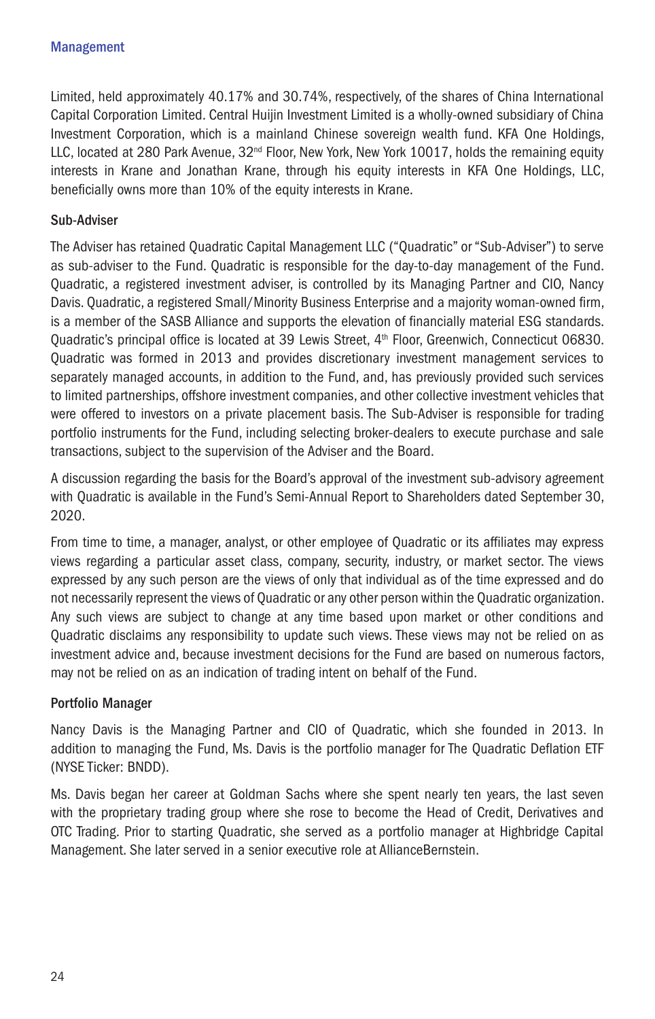Limited, held approximately 40.17% and 30.74%, respectively, of the shares of China International Capital Corporation Limited. Central Huijin Investment Limited is a wholly-owned subsidiary of China Investment Corporation, which is a mainland Chinese sovereign wealth fund. KFA One Holdings, LLC, located at 280 Park Avenue, 32<sup>nd</sup> Floor, New York, New York 10017, holds the remaining equity interests in Krane and Jonathan Krane, through his equity interests in KFA One Holdings, LLC, beneficially owns more than 10% of the equity interests in Krane.

# Sub-Adviser

The Adviser has retained Quadratic Capital Management LLC ("Quadratic" or "Sub-Adviser") to serve as sub-adviser to the Fund. Quadratic is responsible for the day-to-day management of the Fund. Quadratic, a registered investment adviser, is controlled by its Managing Partner and CIO, Nancy Davis. Quadratic, a registered Small/Minority Business Enterprise and a majority woman-owned firm, is a member of the SASB Alliance and supports the elevation of financially material ESG standards. Quadratic's principal office is located at 39 Lewis Street, 4th Floor, Greenwich, Connecticut 06830. Quadratic was formed in 2013 and provides discretionary investment management services to separately managed accounts, in addition to the Fund, and, has previously provided such services to limited partnerships, offshore investment companies, and other collective investment vehicles that were offered to investors on a private placement basis. The Sub-Adviser is responsible for trading portfolio instruments for the Fund, including selecting broker-dealers to execute purchase and sale transactions, subject to the supervision of the Adviser and the Board.

A discussion regarding the basis for the Board's approval of the investment sub-advisory agreement with Quadratic is available in the Fund's Semi-Annual Report to Shareholders dated September 30, 2020.

From time to time, a manager, analyst, or other employee of Quadratic or its affiliates may express views regarding a particular asset class, company, security, industry, or market sector. The views expressed by any such person are the views of only that individual as of the time expressed and do not necessarily represent the views of Quadratic or any other person within the Quadratic organization. Any such views are subject to change at any time based upon market or other conditions and Quadratic disclaims any responsibility to update such views. These views may not be relied on as investment advice and, because investment decisions for the Fund are based on numerous factors, may not be relied on as an indication of trading intent on behalf of the Fund.

#### Portfolio Manager

Nancy Davis is the Managing Partner and CIO of Quadratic, which she founded in 2013. In addition to managing the Fund, Ms. Davis is the portfolio manager for The Quadratic Deflation ETF (NYSE Ticker: BNDD).

Ms. Davis began her career at Goldman Sachs where she spent nearly ten years, the last seven with the proprietary trading group where she rose to become the Head of Credit, Derivatives and OTC Trading. Prior to starting Quadratic, she served as a portfolio manager at Highbridge Capital Management. She later served in a senior executive role at AllianceBernstein.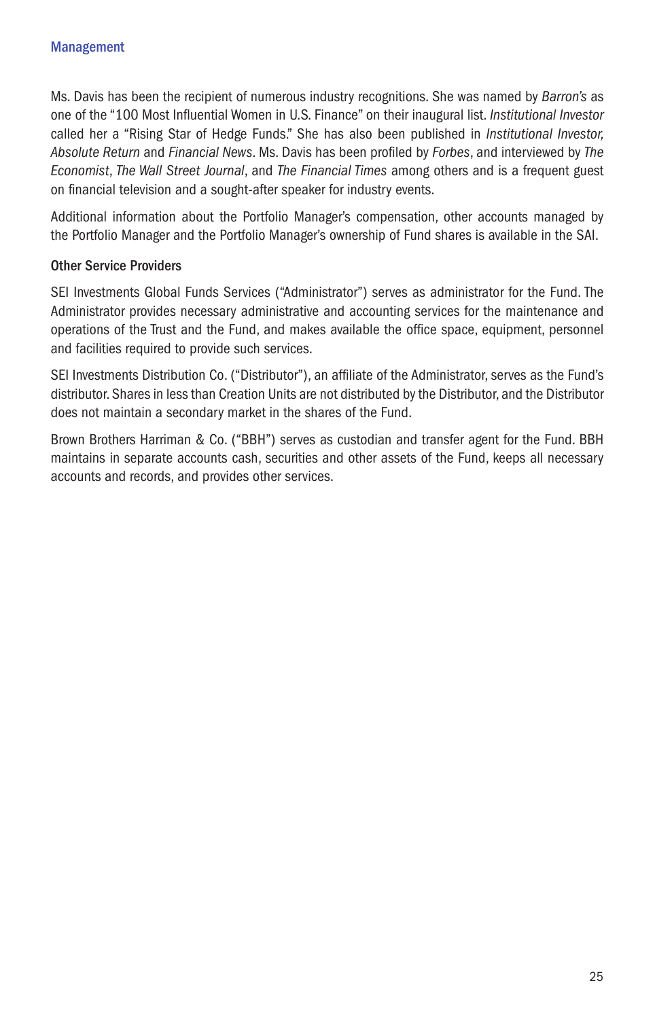Ms. Davis has been the recipient of numerous industry recognitions. She was named by *Barron's* as one of the "100 Most Influential Women in U.S. Finance" on their inaugural list. *Institutional Investor*  called her a "Rising Star of Hedge Funds." She has also been published in *Institutional Investor, Absolute Return* and *Financial News*. Ms. Davis has been profiled by *Forbes*, and interviewed by *The Economist*, *The Wall Street Journal*, and *The Financial Times* among others and is a frequent guest on financial television and a sought-after speaker for industry events.

Additional information about the Portfolio Manager's compensation, other accounts managed by the Portfolio Manager and the Portfolio Manager's ownership of Fund shares is available in the SAI.

# Other Service Providers

SEI Investments Global Funds Services ("Administrator") serves as administrator for the Fund. The Administrator provides necessary administrative and accounting services for the maintenance and operations of the Trust and the Fund, and makes available the office space, equipment, personnel and facilities required to provide such services.

SEI Investments Distribution Co. ("Distributor"), an affiliate of the Administrator, serves as the Fund's distributor. Shares in less than Creation Units are not distributed by the Distributor, and the Distributor does not maintain a secondary market in the shares of the Fund.

Brown Brothers Harriman & Co. ("BBH") serves as custodian and transfer agent for the Fund. BBH maintains in separate accounts cash, securities and other assets of the Fund, keeps all necessary accounts and records, and provides other services.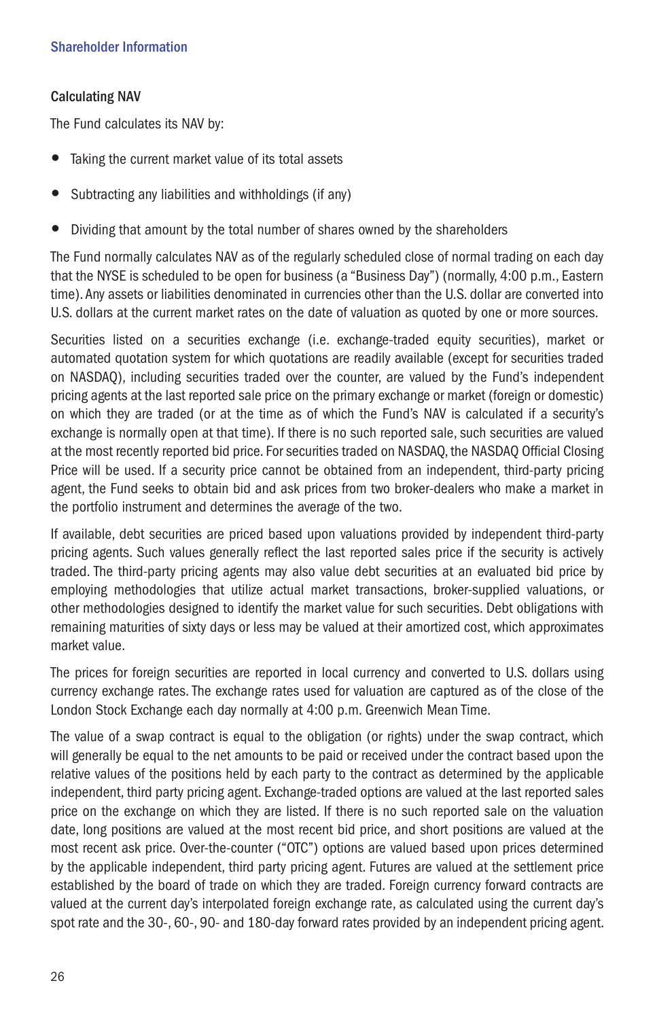# Calculating NAV

The Fund calculates its NAV by:

- Taking the current market value of its total assets
- Subtracting any liabilities and withholdings (if any)
- Dividing that amount by the total number of shares owned by the shareholders

The Fund normally calculates NAV as of the regularly scheduled close of normal trading on each day that the NYSE is scheduled to be open for business (a "Business Day") (normally, 4:00 p.m., Eastern time). Any assets or liabilities denominated in currencies other than the U.S. dollar are converted into U.S. dollars at the current market rates on the date of valuation as quoted by one or more sources.

Securities listed on a securities exchange (i.e. exchange-traded equity securities), market or automated quotation system for which quotations are readily available (except for securities traded on NASDAQ), including securities traded over the counter, are valued by the Fund's independent pricing agents at the last reported sale price on the primary exchange or market (foreign or domestic) on which they are traded (or at the time as of which the Fund's NAV is calculated if a security's exchange is normally open at that time). If there is no such reported sale, such securities are valued at the most recently reported bid price. For securities traded on NASDAQ, the NASDAQ Official Closing Price will be used. If a security price cannot be obtained from an independent, third-party pricing agent, the Fund seeks to obtain bid and ask prices from two broker-dealers who make a market in the portfolio instrument and determines the average of the two.

If available, debt securities are priced based upon valuations provided by independent third-party pricing agents. Such values generally reflect the last reported sales price if the security is actively traded. The third-party pricing agents may also value debt securities at an evaluated bid price by employing methodologies that utilize actual market transactions, broker-supplied valuations, or other methodologies designed to identify the market value for such securities. Debt obligations with remaining maturities of sixty days or less may be valued at their amortized cost, which approximates market value.

The prices for foreign securities are reported in local currency and converted to U.S. dollars using currency exchange rates. The exchange rates used for valuation are captured as of the close of the London Stock Exchange each day normally at 4:00 p.m. Greenwich Mean Time.

The value of a swap contract is equal to the obligation (or rights) under the swap contract, which will generally be equal to the net amounts to be paid or received under the contract based upon the relative values of the positions held by each party to the contract as determined by the applicable independent, third party pricing agent. Exchange-traded options are valued at the last reported sales price on the exchange on which they are listed. If there is no such reported sale on the valuation date, long positions are valued at the most recent bid price, and short positions are valued at the most recent ask price. Over-the-counter ("OTC") options are valued based upon prices determined by the applicable independent, third party pricing agent. Futures are valued at the settlement price established by the board of trade on which they are traded. Foreign currency forward contracts are valued at the current day's interpolated foreign exchange rate, as calculated using the current day's spot rate and the 30-, 60-, 90- and 180-day forward rates provided by an independent pricing agent.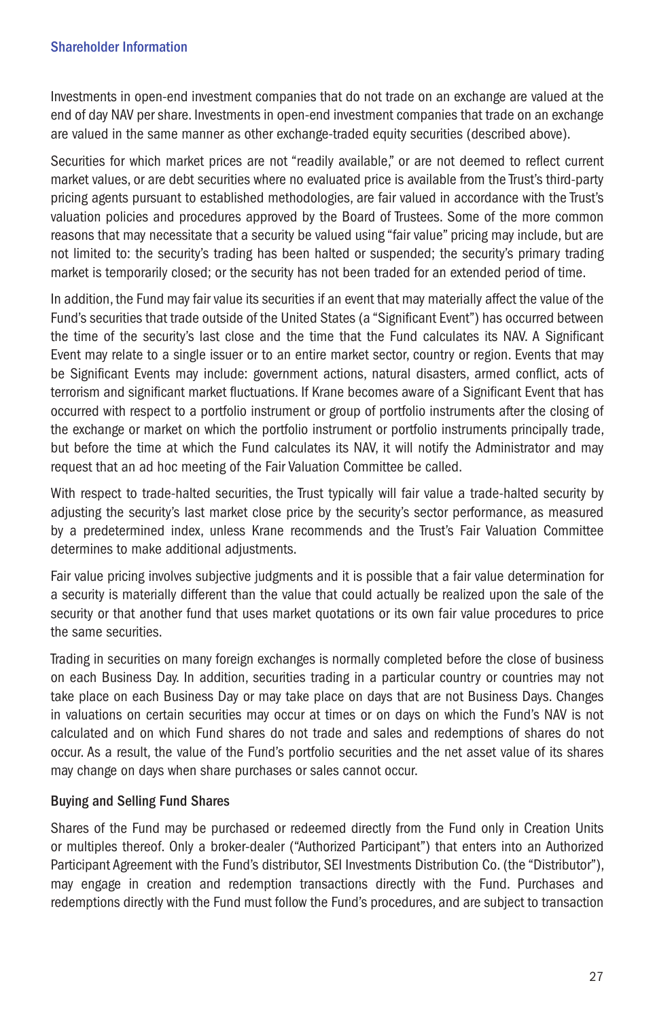Investments in open-end investment companies that do not trade on an exchange are valued at the end of day NAV per share. Investments in open-end investment companies that trade on an exchange are valued in the same manner as other exchange-traded equity securities (described above).

Securities for which market prices are not "readily available," or are not deemed to reflect current market values, or are debt securities where no evaluated price is available from the Trust's third-party pricing agents pursuant to established methodologies, are fair valued in accordance with the Trust's valuation policies and procedures approved by the Board of Trustees. Some of the more common reasons that may necessitate that a security be valued using "fair value" pricing may include, but are not limited to: the security's trading has been halted or suspended; the security's primary trading market is temporarily closed; or the security has not been traded for an extended period of time.

In addition, the Fund may fair value its securities if an event that may materially affect the value of the Fund's securities that trade outside of the United States (a "Significant Event") has occurred between the time of the security's last close and the time that the Fund calculates its NAV. A Significant Event may relate to a single issuer or to an entire market sector, country or region. Events that may be Significant Events may include: government actions, natural disasters, armed conflict, acts of terrorism and significant market fluctuations. If Krane becomes aware of a Significant Event that has occurred with respect to a portfolio instrument or group of portfolio instruments after the closing of the exchange or market on which the portfolio instrument or portfolio instruments principally trade, but before the time at which the Fund calculates its NAV, it will notify the Administrator and may request that an ad hoc meeting of the Fair Valuation Committee be called.

With respect to trade-halted securities, the Trust typically will fair value a trade-halted security by adjusting the security's last market close price by the security's sector performance, as measured by a predetermined index, unless Krane recommends and the Trust's Fair Valuation Committee determines to make additional adjustments.

Fair value pricing involves subjective judgments and it is possible that a fair value determination for a security is materially different than the value that could actually be realized upon the sale of the security or that another fund that uses market quotations or its own fair value procedures to price the same securities.

Trading in securities on many foreign exchanges is normally completed before the close of business on each Business Day. In addition, securities trading in a particular country or countries may not take place on each Business Day or may take place on days that are not Business Days. Changes in valuations on certain securities may occur at times or on days on which the Fund's NAV is not calculated and on which Fund shares do not trade and sales and redemptions of shares do not occur. As a result, the value of the Fund's portfolio securities and the net asset value of its shares may change on days when share purchases or sales cannot occur.

# Buying and Selling Fund Shares

Shares of the Fund may be purchased or redeemed directly from the Fund only in Creation Units or multiples thereof. Only a broker-dealer ("Authorized Participant") that enters into an Authorized Participant Agreement with the Fund's distributor, SEI Investments Distribution Co. (the "Distributor"), may engage in creation and redemption transactions directly with the Fund. Purchases and redemptions directly with the Fund must follow the Fund's procedures, and are subject to transaction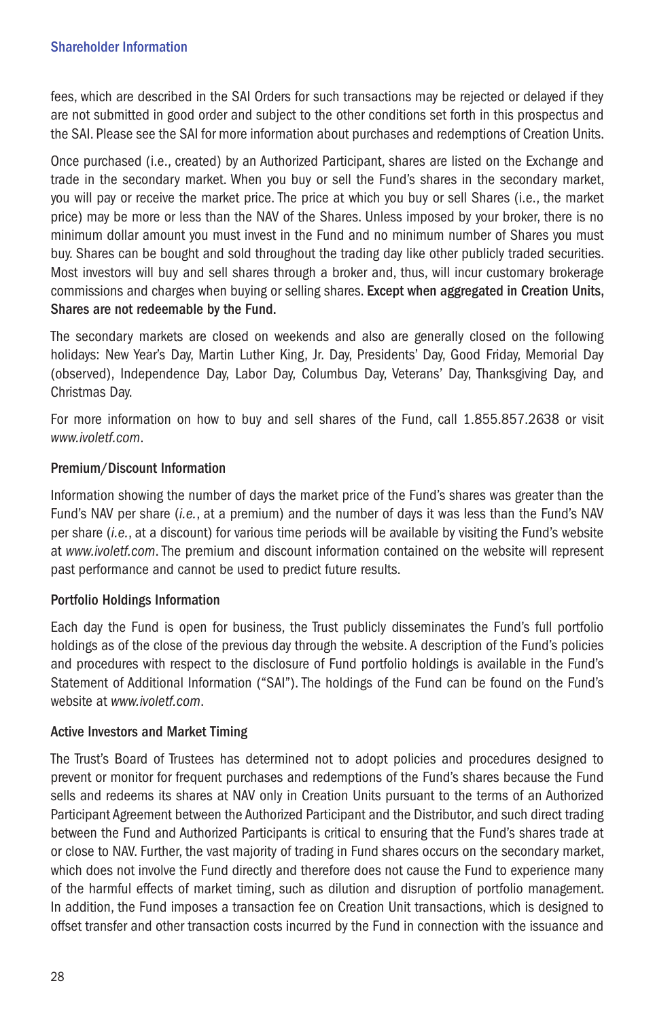fees, which are described in the SAI Orders for such transactions may be rejected or delayed if they are not submitted in good order and subject to the other conditions set forth in this prospectus and the SAI. Please see the SAI for more information about purchases and redemptions of Creation Units.

Once purchased (i.e., created) by an Authorized Participant, shares are listed on the Exchange and trade in the secondary market. When you buy or sell the Fund's shares in the secondary market, you will pay or receive the market price. The price at which you buy or sell Shares (i.e., the market price) may be more or less than the NAV of the Shares. Unless imposed by your broker, there is no minimum dollar amount you must invest in the Fund and no minimum number of Shares you must buy. Shares can be bought and sold throughout the trading day like other publicly traded securities. Most investors will buy and sell shares through a broker and, thus, will incur customary brokerage commissions and charges when buying or selling shares. Except when aggregated in Creation Units, Shares are not redeemable by the Fund.

The secondary markets are closed on weekends and also are generally closed on the following holidays: New Year's Day, Martin Luther King, Jr. Day, Presidents' Day, Good Friday, Memorial Day (observed), Independence Day, Labor Day, Columbus Day, Veterans' Day, Thanksgiving Day, and Christmas Day.

For more information on how to buy and sell shares of the Fund, call 1.855.857.2638 or visit *www.ivoletf.com*.

# Premium/Discount Information

Information showing the number of days the market price of the Fund's shares was greater than the Fund's NAV per share (*i.e.*, at a premium) and the number of days it was less than the Fund's NAV per share (*i.e.*, at a discount) for various time periods will be available by visiting the Fund's website at *www.ivoletf.com*. The premium and discount information contained on the website will represent past performance and cannot be used to predict future results.

# Portfolio Holdings Information

Each day the Fund is open for business, the Trust publicly disseminates the Fund's full portfolio holdings as of the close of the previous day through the website. A description of the Fund's policies and procedures with respect to the disclosure of Fund portfolio holdings is available in the Fund's Statement of Additional Information ("SAI"). The holdings of the Fund can be found on the Fund's website at *www.ivoletf.com*.

# Active Investors and Market Timing

The Trust's Board of Trustees has determined not to adopt policies and procedures designed to prevent or monitor for frequent purchases and redemptions of the Fund's shares because the Fund sells and redeems its shares at NAV only in Creation Units pursuant to the terms of an Authorized Participant Agreement between the Authorized Participant and the Distributor, and such direct trading between the Fund and Authorized Participants is critical to ensuring that the Fund's shares trade at or close to NAV. Further, the vast majority of trading in Fund shares occurs on the secondary market, which does not involve the Fund directly and therefore does not cause the Fund to experience many of the harmful effects of market timing, such as dilution and disruption of portfolio management. In addition, the Fund imposes a transaction fee on Creation Unit transactions, which is designed to offset transfer and other transaction costs incurred by the Fund in connection with the issuance and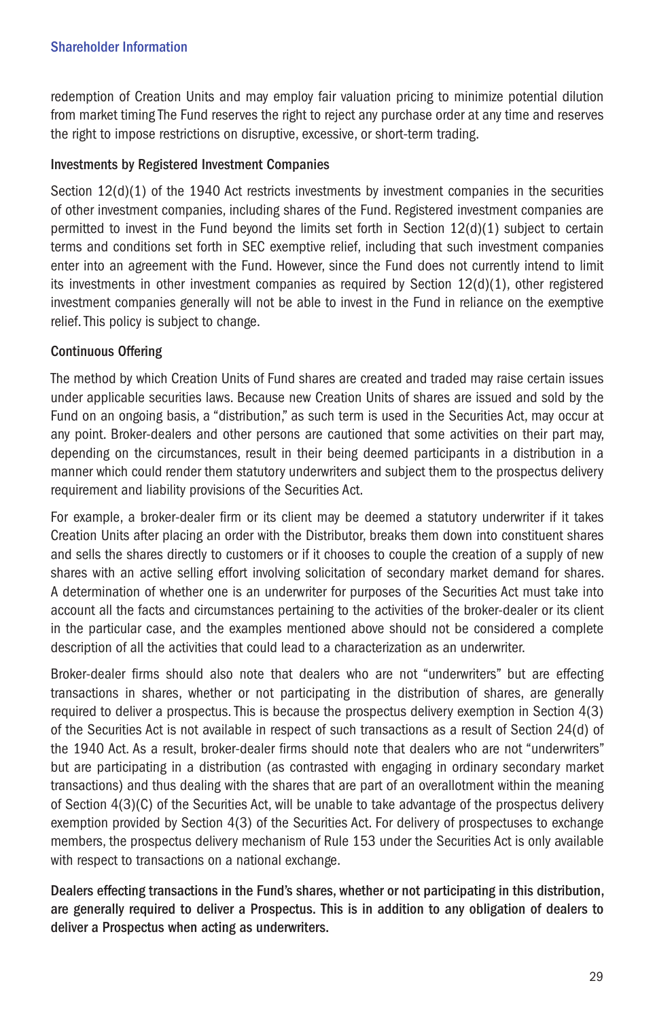redemption of Creation Units and may employ fair valuation pricing to minimize potential dilution from market timing The Fund reserves the right to reject any purchase order at any time and reserves the right to impose restrictions on disruptive, excessive, or short-term trading.

# Investments by Registered Investment Companies

Section  $12(d)(1)$  of the 1940 Act restricts investments by investment companies in the securities of other investment companies, including shares of the Fund. Registered investment companies are permitted to invest in the Fund beyond the limits set forth in Section 12(d)(1) subject to certain terms and conditions set forth in SEC exemptive relief, including that such investment companies enter into an agreement with the Fund. However, since the Fund does not currently intend to limit its investments in other investment companies as required by Section 12(d)(1), other registered investment companies generally will not be able to invest in the Fund in reliance on the exemptive relief. This policy is subject to change.

# Continuous Offering

The method by which Creation Units of Fund shares are created and traded may raise certain issues under applicable securities laws. Because new Creation Units of shares are issued and sold by the Fund on an ongoing basis, a "distribution," as such term is used in the Securities Act, may occur at any point. Broker-dealers and other persons are cautioned that some activities on their part may, depending on the circumstances, result in their being deemed participants in a distribution in a manner which could render them statutory underwriters and subject them to the prospectus delivery requirement and liability provisions of the Securities Act.

For example, a broker-dealer firm or its client may be deemed a statutory underwriter if it takes Creation Units after placing an order with the Distributor, breaks them down into constituent shares and sells the shares directly to customers or if it chooses to couple the creation of a supply of new shares with an active selling effort involving solicitation of secondary market demand for shares. A determination of whether one is an underwriter for purposes of the Securities Act must take into account all the facts and circumstances pertaining to the activities of the broker-dealer or its client in the particular case, and the examples mentioned above should not be considered a complete description of all the activities that could lead to a characterization as an underwriter.

Broker-dealer firms should also note that dealers who are not "underwriters" but are effecting transactions in shares, whether or not participating in the distribution of shares, are generally required to deliver a prospectus. This is because the prospectus delivery exemption in Section 4(3) of the Securities Act is not available in respect of such transactions as a result of Section 24(d) of the 1940 Act. As a result, broker-dealer firms should note that dealers who are not "underwriters" but are participating in a distribution (as contrasted with engaging in ordinary secondary market transactions) and thus dealing with the shares that are part of an overallotment within the meaning of Section 4(3)(C) of the Securities Act, will be unable to take advantage of the prospectus delivery exemption provided by Section 4(3) of the Securities Act. For delivery of prospectuses to exchange members, the prospectus delivery mechanism of Rule 153 under the Securities Act is only available with respect to transactions on a national exchange.

Dealers effecting transactions in the Fund's shares, whether or not participating in this distribution, are generally required to deliver a Prospectus. This is in addition to any obligation of dealers to deliver a Prospectus when acting as underwriters.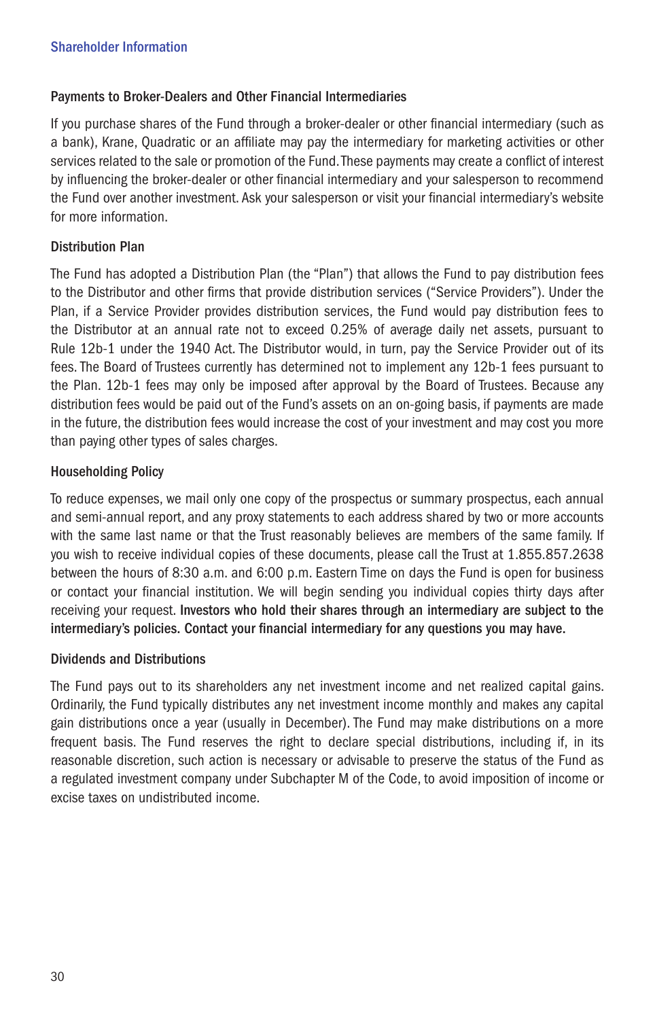# Payments to Broker-Dealers and Other Financial Intermediaries

If you purchase shares of the Fund through a broker-dealer or other financial intermediary (such as a bank), Krane, Quadratic or an affiliate may pay the intermediary for marketing activities or other services related to the sale or promotion of the Fund. These payments may create a conflict of interest by influencing the broker-dealer or other financial intermediary and your salesperson to recommend the Fund over another investment. Ask your salesperson or visit your financial intermediary's website for more information.

# Distribution Plan

The Fund has adopted a Distribution Plan (the "Plan") that allows the Fund to pay distribution fees to the Distributor and other firms that provide distribution services ("Service Providers"). Under the Plan, if a Service Provider provides distribution services, the Fund would pay distribution fees to the Distributor at an annual rate not to exceed 0.25% of average daily net assets, pursuant to Rule 12b-1 under the 1940 Act. The Distributor would, in turn, pay the Service Provider out of its fees. The Board of Trustees currently has determined not to implement any 12b-1 fees pursuant to the Plan. 12b-1 fees may only be imposed after approval by the Board of Trustees. Because any distribution fees would be paid out of the Fund's assets on an on-going basis, if payments are made in the future, the distribution fees would increase the cost of your investment and may cost you more than paying other types of sales charges.

# Householding Policy

To reduce expenses, we mail only one copy of the prospectus or summary prospectus, each annual and semi-annual report, and any proxy statements to each address shared by two or more accounts with the same last name or that the Trust reasonably believes are members of the same family. If you wish to receive individual copies of these documents, please call the Trust at 1.855.857.2638 between the hours of 8:30 a.m. and 6:00 p.m. Eastern Time on days the Fund is open for business or contact your financial institution. We will begin sending you individual copies thirty days after receiving your request. Investors who hold their shares through an intermediary are subject to the intermediary's policies. Contact your financial intermediary for any questions you may have.

# Dividends and Distributions

The Fund pays out to its shareholders any net investment income and net realized capital gains. Ordinarily, the Fund typically distributes any net investment income monthly and makes any capital gain distributions once a year (usually in December). The Fund may make distributions on a more frequent basis. The Fund reserves the right to declare special distributions, including if, in its reasonable discretion, such action is necessary or advisable to preserve the status of the Fund as a regulated investment company under Subchapter M of the Code, to avoid imposition of income or excise taxes on undistributed income.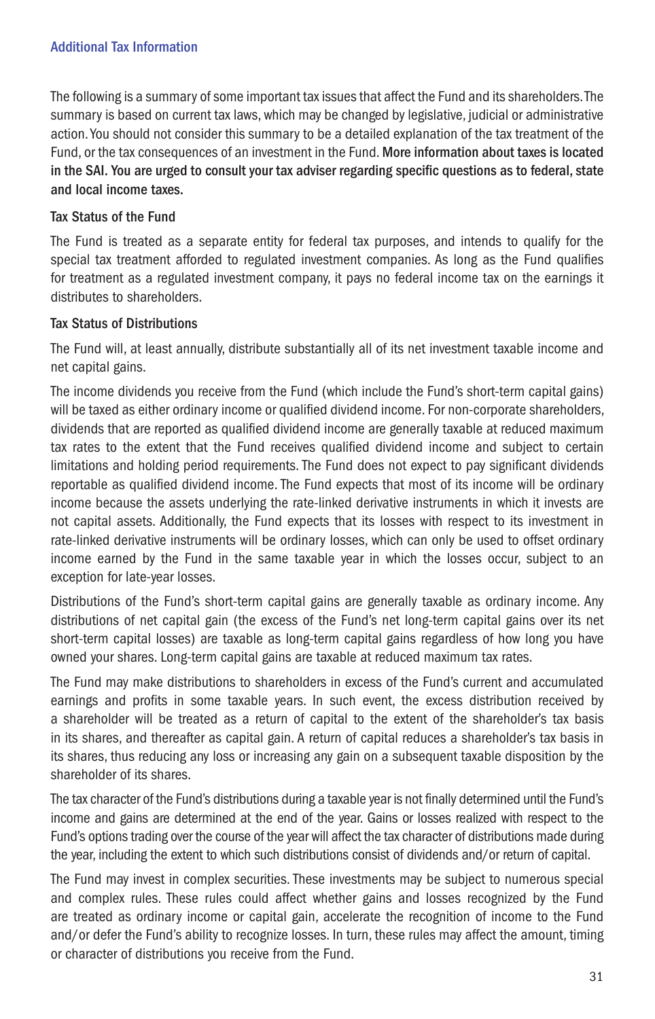# Additional Tax Information

The following is a summary of some important tax issues that affect the Fund and its shareholders. The summary is based on current tax laws, which may be changed by legislative, judicial or administrative action. You should not consider this summary to be a detailed explanation of the tax treatment of the Fund, or the tax consequences of an investment in the Fund. More information about taxes is located in the SAI. You are urged to consult your tax adviser regarding specific questions as to federal, state and local income taxes.

# Tax Status of the Fund

The Fund is treated as a separate entity for federal tax purposes, and intends to qualify for the special tax treatment afforded to regulated investment companies. As long as the Fund qualifies for treatment as a regulated investment company, it pays no federal income tax on the earnings it distributes to shareholders.

# Tax Status of Distributions

The Fund will, at least annually, distribute substantially all of its net investment taxable income and net capital gains.

The income dividends you receive from the Fund (which include the Fund's short-term capital gains) will be taxed as either ordinary income or qualified dividend income. For non-corporate shareholders, dividends that are reported as qualified dividend income are generally taxable at reduced maximum tax rates to the extent that the Fund receives qualified dividend income and subject to certain limitations and holding period requirements. The Fund does not expect to pay significant dividends reportable as qualified dividend income. The Fund expects that most of its income will be ordinary income because the assets underlying the rate-linked derivative instruments in which it invests are not capital assets. Additionally, the Fund expects that its losses with respect to its investment in rate-linked derivative instruments will be ordinary losses, which can only be used to offset ordinary income earned by the Fund in the same taxable year in which the losses occur, subject to an exception for late-year losses.

Distributions of the Fund's short-term capital gains are generally taxable as ordinary income. Any distributions of net capital gain (the excess of the Fund's net long-term capital gains over its net short-term capital losses) are taxable as long-term capital gains regardless of how long you have owned your shares. Long-term capital gains are taxable at reduced maximum tax rates.

The Fund may make distributions to shareholders in excess of the Fund's current and accumulated earnings and profits in some taxable years. In such event, the excess distribution received by a shareholder will be treated as a return of capital to the extent of the shareholder's tax basis in its shares, and thereafter as capital gain. A return of capital reduces a shareholder's tax basis in its shares, thus reducing any loss or increasing any gain on a subsequent taxable disposition by the shareholder of its shares.

The tax character of the Fund's distributions during a taxable year is not finally determined until the Fund's income and gains are determined at the end of the year. Gains or losses realized with respect to the Fund's options trading over the course of the year will affect the tax character of distributions made during the year, including the extent to which such distributions consist of dividends and/or return of capital.

The Fund may invest in complex securities. These investments may be subject to numerous special and complex rules. These rules could affect whether gains and losses recognized by the Fund are treated as ordinary income or capital gain, accelerate the recognition of income to the Fund and/or defer the Fund's ability to recognize losses. In turn, these rules may affect the amount, timing or character of distributions you receive from the Fund.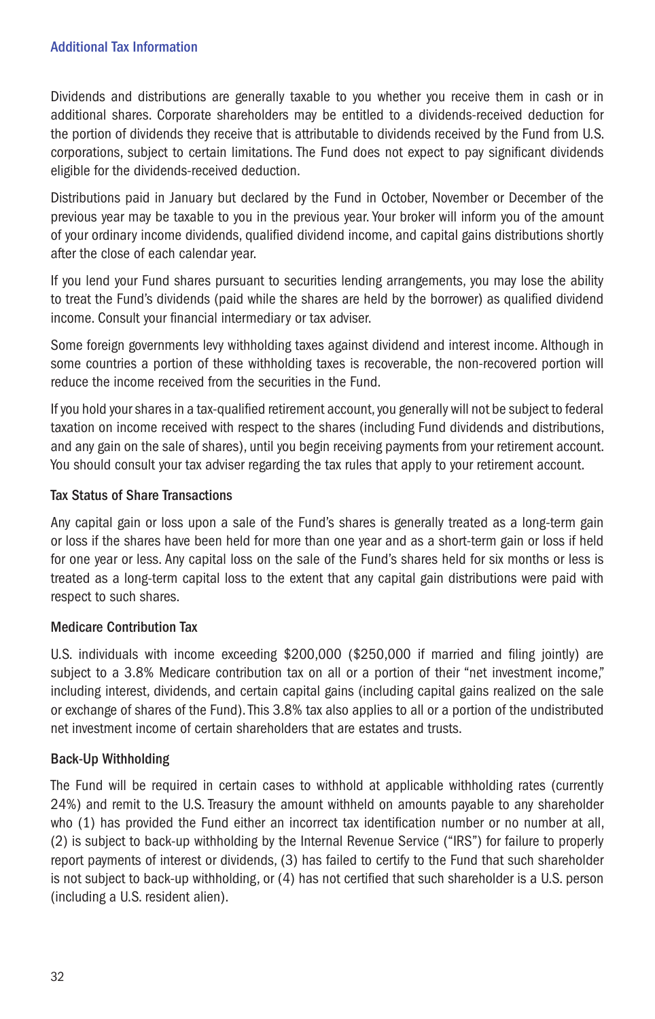# Additional Tax Information

Dividends and distributions are generally taxable to you whether you receive them in cash or in additional shares. Corporate shareholders may be entitled to a dividends-received deduction for the portion of dividends they receive that is attributable to dividends received by the Fund from U.S. corporations, subject to certain limitations. The Fund does not expect to pay significant dividends eligible for the dividends-received deduction.

Distributions paid in January but declared by the Fund in October, November or December of the previous year may be taxable to you in the previous year. Your broker will inform you of the amount of your ordinary income dividends, qualified dividend income, and capital gains distributions shortly after the close of each calendar year.

If you lend your Fund shares pursuant to securities lending arrangements, you may lose the ability to treat the Fund's dividends (paid while the shares are held by the borrower) as qualified dividend income. Consult your financial intermediary or tax adviser.

Some foreign governments levy withholding taxes against dividend and interest income. Although in some countries a portion of these withholding taxes is recoverable, the non-recovered portion will reduce the income received from the securities in the Fund.

If you hold your shares in a tax-qualified retirement account, you generally will not be subject to federal taxation on income received with respect to the shares (including Fund dividends and distributions, and any gain on the sale of shares), until you begin receiving payments from your retirement account. You should consult your tax adviser regarding the tax rules that apply to your retirement account.

# Tax Status of Share Transactions

Any capital gain or loss upon a sale of the Fund's shares is generally treated as a long-term gain or loss if the shares have been held for more than one year and as a short-term gain or loss if held for one year or less. Any capital loss on the sale of the Fund's shares held for six months or less is treated as a long-term capital loss to the extent that any capital gain distributions were paid with respect to such shares.

# Medicare Contribution Tax

U.S. individuals with income exceeding \$200,000 (\$250,000 if married and filing jointly) are subject to a 3.8% Medicare contribution tax on all or a portion of their "net investment income," including interest, dividends, and certain capital gains (including capital gains realized on the sale or exchange of shares of the Fund). This 3.8% tax also applies to all or a portion of the undistributed net investment income of certain shareholders that are estates and trusts.

# Back-Up Withholding

The Fund will be required in certain cases to withhold at applicable withholding rates (currently 24%) and remit to the U.S. Treasury the amount withheld on amounts payable to any shareholder who (1) has provided the Fund either an incorrect tax identification number or no number at all, (2) is subject to back-up withholding by the Internal Revenue Service ("IRS") for failure to properly report payments of interest or dividends, (3) has failed to certify to the Fund that such shareholder is not subject to back-up withholding, or (4) has not certified that such shareholder is a U.S. person (including a U.S. resident alien).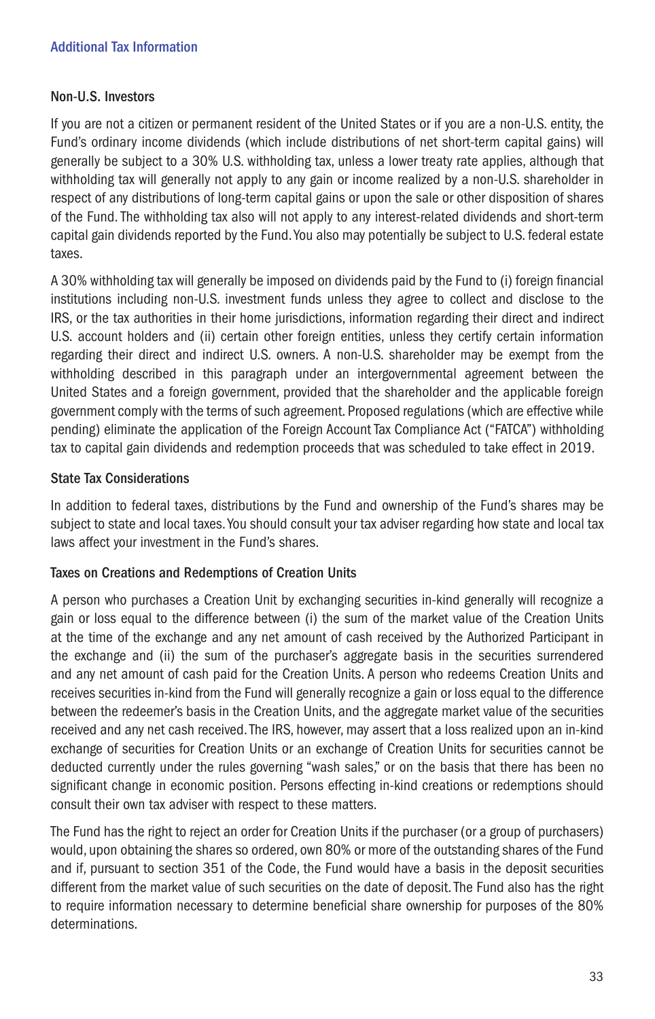# Additional Tax Information

### Non-U.S. Investors

If you are not a citizen or permanent resident of the United States or if you are a non-U.S. entity, the Fund's ordinary income dividends (which include distributions of net short-term capital gains) will generally be subject to a 30% U.S. withholding tax, unless a lower treaty rate applies, although that withholding tax will generally not apply to any gain or income realized by a non-U.S. shareholder in respect of any distributions of long-term capital gains or upon the sale or other disposition of shares of the Fund. The withholding tax also will not apply to any interest-related dividends and short-term capital gain dividends reported by the Fund. You also may potentially be subject to U.S. federal estate taxes.

A 30% withholding tax will generally be imposed on dividends paid by the Fund to (i) foreign financial institutions including non-U.S. investment funds unless they agree to collect and disclose to the IRS, or the tax authorities in their home jurisdictions, information regarding their direct and indirect U.S. account holders and (ii) certain other foreign entities, unless they certify certain information regarding their direct and indirect U.S. owners. A non-U.S. shareholder may be exempt from the withholding described in this paragraph under an intergovernmental agreement between the United States and a foreign government, provided that the shareholder and the applicable foreign government comply with the terms of such agreement. Proposed regulations (which are effective while pending) eliminate the application of the Foreign Account Tax Compliance Act ("FATCA") withholding tax to capital gain dividends and redemption proceeds that was scheduled to take effect in 2019.

# State Tax Considerations

In addition to federal taxes, distributions by the Fund and ownership of the Fund's shares may be subject to state and local taxes. You should consult your tax adviser regarding how state and local tax laws affect your investment in the Fund's shares.

# Taxes on Creations and Redemptions of Creation Units

A person who purchases a Creation Unit by exchanging securities in-kind generally will recognize a gain or loss equal to the difference between (i) the sum of the market value of the Creation Units at the time of the exchange and any net amount of cash received by the Authorized Participant in the exchange and (ii) the sum of the purchaser's aggregate basis in the securities surrendered and any net amount of cash paid for the Creation Units. A person who redeems Creation Units and receives securities in-kind from the Fund will generally recognize a gain or loss equal to the difference between the redeemer's basis in the Creation Units, and the aggregate market value of the securities received and any net cash received. The IRS, however, may assert that a loss realized upon an in-kind exchange of securities for Creation Units or an exchange of Creation Units for securities cannot be deducted currently under the rules governing "wash sales," or on the basis that there has been no significant change in economic position. Persons effecting in-kind creations or redemptions should consult their own tax adviser with respect to these matters.

The Fund has the right to reject an order for Creation Units if the purchaser (or a group of purchasers) would, upon obtaining the shares so ordered, own 80% or more of the outstanding shares of the Fund and if, pursuant to section 351 of the Code, the Fund would have a basis in the deposit securities different from the market value of such securities on the date of deposit. The Fund also has the right to require information necessary to determine beneficial share ownership for purposes of the 80% determinations.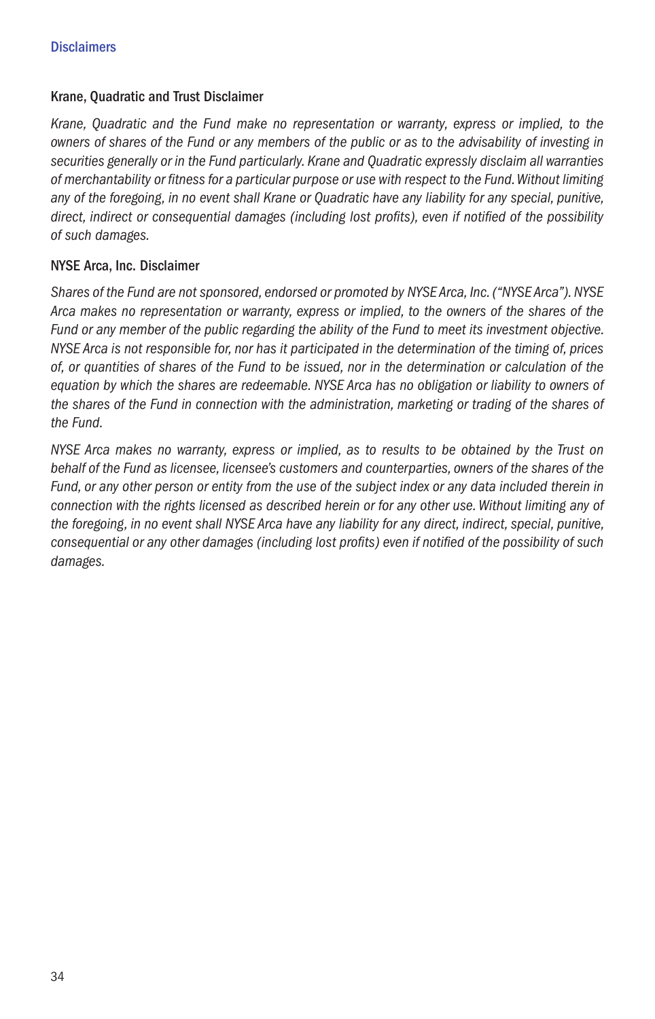# Krane, Quadratic and Trust Disclaimer

*Krane, Quadratic and the Fund make no representation or warranty, express or implied, to the owners of shares of the Fund or any members of the public or as to the advisability of investing in securities generally or in the Fund particularly. Krane and Quadratic expressly disclaim all warranties of merchantability or fitness for a particular purpose or use with respect to the Fund. Without limiting any of the foregoing, in no event shall Krane or Quadratic have any liability for any special, punitive, direct, indirect or consequential damages (including lost profits), even if notified of the possibility of such damages.*

# NYSE Arca, Inc. Disclaimer

*Shares of the Fund are not sponsored, endorsed or promoted by NYSE Arca, Inc. ("NYSE Arca"). NYSE Arca makes no representation or warranty, express or implied, to the owners of the shares of the Fund or any member of the public regarding the ability of the Fund to meet its investment objective. NYSE Arca is not responsible for, nor has it participated in the determination of the timing of, prices of, or quantities of shares of the Fund to be issued, nor in the determination or calculation of the equation by which the shares are redeemable. NYSE Arca has no obligation or liability to owners of the shares of the Fund in connection with the administration, marketing or trading of the shares of the Fund.*

*NYSE Arca makes no warranty, express or implied, as to results to be obtained by the Trust on behalf of the Fund as licensee, licensee's customers and counterparties, owners of the shares of the Fund, or any other person or entity from the use of the subject index or any data included therein in connection with the rights licensed as described herein or for any other use. Without limiting any of the foregoing, in no event shall NYSE Arca have any liability for any direct, indirect, special, punitive, consequential or any other damages (including lost profits) even if notified of the possibility of such damages.*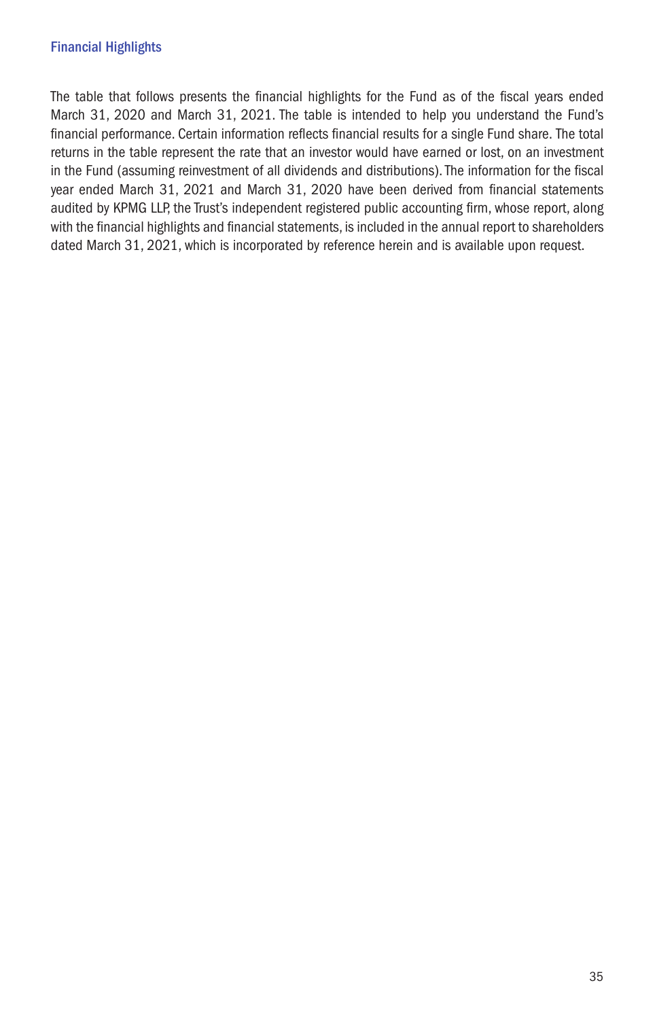The table that follows presents the financial highlights for the Fund as of the fiscal years ended March 31, 2020 and March 31, 2021. The table is intended to help you understand the Fund's financial performance. Certain information reflects financial results for a single Fund share. The total returns in the table represent the rate that an investor would have earned or lost, on an investment in the Fund (assuming reinvestment of all dividends and distributions). The information for the fiscal year ended March 31, 2021 and March 31, 2020 have been derived from financial statements audited by KPMG LLP, the Trust's independent registered public accounting firm, whose report, along with the financial highlights and financial statements, is included in the annual report to shareholders dated March 31, 2021, which is incorporated by reference herein and is available upon request.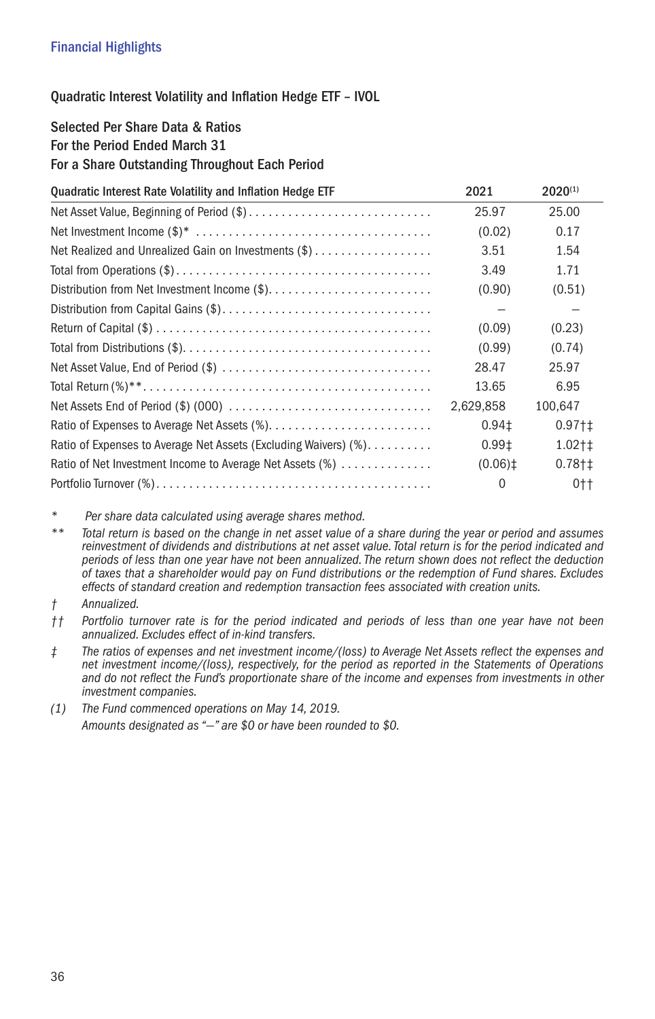# Quadratic Interest Volatility and Inflation Hedge ETF – IVOL

# Selected Per Share Data & Ratios For the Period Ended March 31 For a Share Outstanding Throughout Each Period

| Quadratic Interest Rate Volatility and Inflation Hedge ETF      | 2021                  | $2020^{(1)}$ |
|-----------------------------------------------------------------|-----------------------|--------------|
|                                                                 | 25.97                 | 25.00        |
|                                                                 | (0.02)                | 0.17         |
| Net Realized and Unrealized Gain on Investments (\$)            | 3.51                  | 1.54         |
|                                                                 | 3.49                  | 1.71         |
|                                                                 | (0.90)                | (0.51)       |
|                                                                 |                       |              |
|                                                                 | (0.09)                | (0.23)       |
|                                                                 | (0.99)                | (0.74)       |
|                                                                 | 28.47                 | 25.97        |
|                                                                 | 13.65                 | 6.95         |
|                                                                 | 2.629.858             | 100.647      |
|                                                                 | 0.94 <sub>1</sub>     | $0.97 + 1$   |
| Ratio of Expenses to Average Net Assets (Excluding Waivers) (%) | 0.991                 | $1.02 + 1$   |
| Ratio of Net Investment Income to Average Net Assets (%)        | $(0.06)$ <sup>±</sup> | $0.78 + 1$   |
|                                                                 | $\Omega$              | $0+$         |

*\* Per share data calculated using average shares method.*

*\*\* Total return is based on the change in net asset value of a share during the year or period and assumes reinvestment of dividends and distributions at net asset value. Total return is for the period indicated and periods of less than one year have not been annualized. The return shown does not reflect the deduction of taxes that a shareholder would pay on Fund distributions or the redemption of Fund shares. Excludes effects of standard creation and redemption transaction fees associated with creation units.*

*† Annualized.*

*†† Portfolio turnover rate is for the period indicated and periods of less than one year have not been annualized. Excludes effect of in-kind transfers.* 

- *‡ The ratios of expenses and net investment income/(loss) to Average Net Assets reflect the expenses and net investment income/(loss), respectively, for the period as reported in the Statements of Operations and do not reflect the Fund's proportionate share of the income and expenses from investments in other investment companies.*
- *(1) The Fund commenced operations on May 14, 2019. Amounts designated as "—" are \$0 or have been rounded to \$0.*